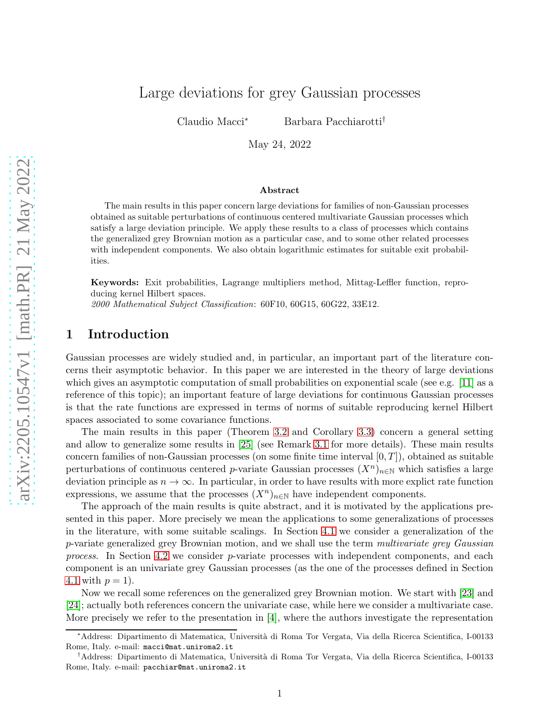# Large deviations for grey Gaussian processes

Claudio Macci<sup>∗</sup> Barbara Pacchiarotti†

May 24, 2022

#### Abstract

The main results in this paper concern large deviations for families of non-Gaussian processes obtained as suitable perturbations of continuous centered multivariate Gaussian processes which satisfy a large deviation principle. We apply these results to a class of processes which contains the generalized grey Brownian motion as a particular case, and to some other related processes with independent components. We also obtain logarithmic estimates for suitable exit probabilities.

Keywords: Exit probabilities, Lagrange multipliers method, Mittag-Leffler function, reproducing kernel Hilbert spaces.

2000 Mathematical Subject Classification: 60F10, 60G15, 60G22, 33E12.

### 1 Introduction

Gaussian processes are widely studied and, in particular, an important part of the literature concerns their asymptotic behavior. In this paper we are interested in the theory of large deviations which gives an asymptotic computation of small probabilities on exponential scale (see e.g. [\[11\]](#page-24-0) as a reference of this topic); an important feature of large deviations for continuous Gaussian processes is that the rate functions are expressed in terms of norms of suitable reproducing kernel Hilbert spaces associated to some covariance functions.

The main results in this paper (Theorem [3.2](#page-10-0) and Corollary [3.3\)](#page-10-1) concern a general setting and allow to generalize some results in [\[25\]](#page-25-0) (see Remark [3.1](#page-10-2) for more details). These main results concern families of non-Gaussian processes (on some finite time interval  $[0, T]$ ), obtained as suitable perturbations of continuous centered p-variate Gaussian processes  $(X^n)_{n\in\mathbb{N}}$  which satisfies a large deviation principle as  $n \to \infty$ . In particular, in order to have results with more explict rate function expressions, we assume that the processes  $(X^n)_{n\in\mathbb{N}}$  have independent components.

The approach of the main results is quite abstract, and it is motivated by the applications presented in this paper. More precisely we mean the applications to some generalizations of processes in the literature, with some suitable scalings. In Section [4.1](#page-12-0) we consider a generalization of the p-variate generalized grey Brownian motion, and we shall use the term multivariate grey Gaussian process. In Section [4.2](#page-13-0) we consider p-variate processes with independent components, and each component is an univariate grey Gaussian processes (as the one of the processes defined in Section [4.1](#page-12-0) with  $p=1$ ).

Now we recall some references on the generalized grey Brownian motion. We start with [\[23\]](#page-25-1) and [\[24\]](#page-25-2); actually both references concern the univariate case, while here we consider a multivariate case. More precisely we refer to the presentation in [\[4\]](#page-24-1), where the authors investigate the representation

<sup>∗</sup>Address: Dipartimento di Matematica, Universit`a di Roma Tor Vergata, Via della Ricerca Scientifica, I-00133 Rome, Italy. e-mail: macci@mat.uniroma2.it

<sup>†</sup>Address: Dipartimento di Matematica, Universit`a di Roma Tor Vergata, Via della Ricerca Scientifica, I-00133 Rome, Italy. e-mail: pacchiar@mat.uniroma2.it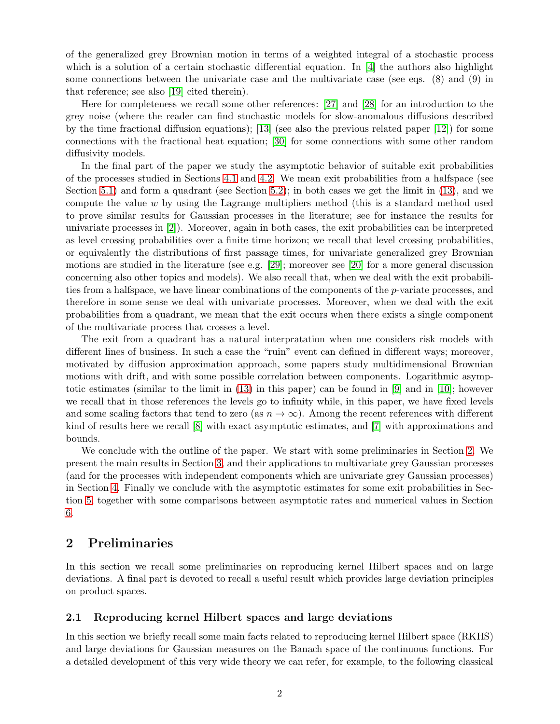of the generalized grey Brownian motion in terms of a weighted integral of a stochastic process which is a solution of a certain stochastic differential equation. In [\[4\]](#page-24-1) the authors also highlight some connections between the univariate case and the multivariate case (see eqs. (8) and (9) in that reference; see also [\[19\]](#page-24-2) cited therein).

Here for completeness we recall some other references: [\[27\]](#page-25-3) and [\[28\]](#page-25-4) for an introduction to the grey noise (where the reader can find stochastic models for slow-anomalous diffusions described by the time fractional diffusion equations); [\[13\]](#page-24-3) (see also the previous related paper [\[12\]](#page-24-4)) for some connections with the fractional heat equation; [\[30\]](#page-25-5) for some connections with some other random diffusivity models.

In the final part of the paper we study the asymptotic behavior of suitable exit probabilities of the processes studied in Sections [4.1](#page-12-0) and [4.2.](#page-13-0) We mean exit probabilities from a halfspace (see Section [5.1\)](#page-15-0) and form a quadrant (see Section [5.2\)](#page-19-0); in both cases we get the limit in [\(13\)](#page-15-1), and we compute the value  $w$  by using the Lagrange multipliers method (this is a standard method used to prove similar results for Gaussian processes in the literature; see for instance the results for univariate processes in [\[2\]](#page-24-5)). Moreover, again in both cases, the exit probabilities can be interpreted as level crossing probabilities over a finite time horizon; we recall that level crossing probabilities, or equivalently the distributions of first passage times, for univariate generalized grey Brownian motions are studied in the literature (see e.g. [\[29\]](#page-25-6); moreover see [\[20\]](#page-25-7) for a more general discussion concerning also other topics and models). We also recall that, when we deal with the exit probabilities from a halfspace, we have linear combinations of the components of the p-variate processes, and therefore in some sense we deal with univariate processes. Moreover, when we deal with the exit probabilities from a quadrant, we mean that the exit occurs when there exists a single component of the multivariate process that crosses a level.

The exit from a quadrant has a natural interpratation when one considers risk models with different lines of business. In such a case the "ruin" event can defined in different ways; moreover, motivated by diffusion approximation approach, some papers study multidimensional Brownian motions with drift, and with some possible correlation between components. Logarithmic asymptotic estimates (similar to the limit in [\(13\)](#page-15-1) in this paper) can be found in [\[9\]](#page-24-6) and in [\[10\]](#page-24-7); however we recall that in those references the levels go to infinity while, in this paper, we have fixed levels and some scaling factors that tend to zero (as  $n \to \infty$ ). Among the recent references with different kind of results here we recall [\[8\]](#page-24-8) with exact asymptotic estimates, and [\[7\]](#page-24-9) with approximations and bounds.

We conclude with the outline of the paper. We start with some preliminaries in Section [2.](#page-1-0) We present the main results in Section [3,](#page-7-0) and their applications to multivariate grey Gaussian processes (and for the processes with independent components which are univariate grey Gaussian processes) in Section [4.](#page-11-0) Finally we conclude with the asymptotic estimates for some exit probabilities in Section [5,](#page-15-2) together with some comparisons between asymptotic rates and numerical values in Section [6.](#page-22-0)

## <span id="page-1-0"></span>2 Preliminaries

In this section we recall some preliminaries on reproducing kernel Hilbert spaces and on large deviations. A final part is devoted to recall a useful result which provides large deviation principles on product spaces.

#### 2.1 Reproducing kernel Hilbert spaces and large deviations

In this section we briefly recall some main facts related to reproducing kernel Hilbert space (RKHS) and large deviations for Gaussian measures on the Banach space of the continuous functions. For a detailed development of this very wide theory we can refer, for example, to the following classical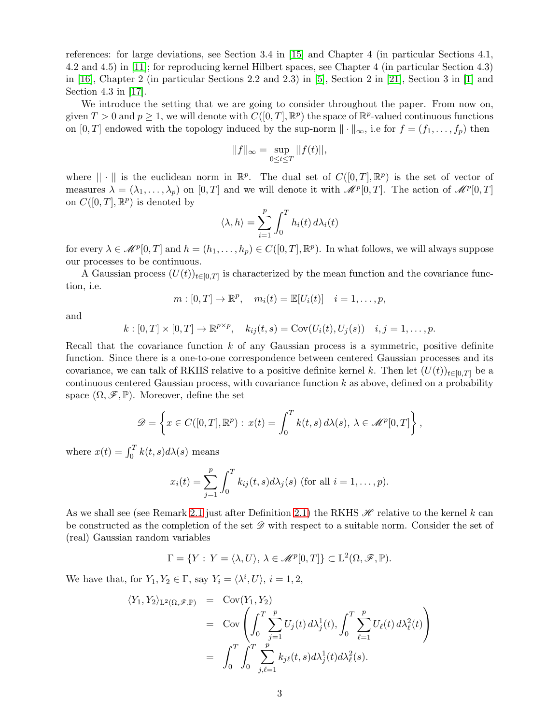references: for large deviations, see Section 3.4 in [\[15\]](#page-24-10) and Chapter 4 (in particular Sections 4.1, 4.2 and 4.5) in [\[11\]](#page-24-0); for reproducing kernel Hilbert spaces, see Chapter 4 (in particular Section 4.3) in [\[16\]](#page-24-11), Chapter 2 (in particular Sections 2.2 and 2.3) in [\[5\]](#page-24-12), Section 2 in [\[21\]](#page-25-8), Section 3 in [\[1\]](#page-24-13) and Section 4.3 in [\[17\]](#page-24-14).

We introduce the setting that we are going to consider throughout the paper. From now on, given  $T > 0$  and  $p \ge 1$ , we will denote with  $C([0, T], \mathbb{R}^p)$  the space of  $\mathbb{R}^p$ -valued continuous functions on  $[0, T]$  endowed with the topology induced by the sup-norm  $\|\cdot\|_{\infty}$ , i.e for  $f = (f_1, \ldots, f_p)$  then

$$
||f||_{\infty} = \sup_{0 \le t \le T} ||f(t)||,
$$

where  $\|\cdot\|$  is the euclidean norm in  $\mathbb{R}^p$ . The dual set of  $C([0,T], \mathbb{R}^p)$  is the set of vector of measures  $\lambda = (\lambda_1, \ldots, \lambda_p)$  on  $[0, T]$  and we will denote it with  $\mathcal{M}^p[0, T]$ . The action of  $\mathcal{M}^p[0, T]$ on  $C([0,T],\mathbb{R}^p)$  is denoted by

$$
\langle \lambda, h \rangle = \sum_{i=1}^{p} \int_{0}^{T} h_{i}(t) d\lambda_{i}(t)
$$

for every  $\lambda \in \mathcal{M}^p[0,T]$  and  $h = (h_1,\ldots,h_p) \in C([0,T],\mathbb{R}^p)$ . In what follows, we will always suppose our processes to be continuous.

A Gaussian process  $(U(t))_{t\in[0,T]}$  is characterized by the mean function and the covariance function, i.e.

$$
m:[0,T]\to\mathbb{R}^p, \quad m_i(t)=\mathbb{E}[U_i(t)] \quad i=1,\ldots,p,
$$

and

$$
k:[0,T]\times[0,T]\to\mathbb{R}^{p\times p},\quad k_{ij}(t,s)=\mathrm{Cov}(U_i(t),U_j(s))\quad i,j=1,\ldots,p.
$$

Recall that the covariance function  $k$  of any Gaussian process is a symmetric, positive definite function. Since there is a one-to-one correspondence between centered Gaussian processes and its covariance, we can talk of RKHS relative to a positive definite kernel k. Then let  $(U(t))_{t\in[0,T]}$  be a continuous centered Gaussian process, with covariance function  $k$  as above, defined on a probability space  $(\Omega, \mathscr{F}, \mathbb{P})$ . Moreover, define the set

$$
\mathscr{D} = \left\{ x \in C([0,T], \mathbb{R}^p) : x(t) = \int_0^T k(t,s) d\lambda(s), \lambda \in \mathscr{M}^p[0,T] \right\},\
$$

where  $x(t) = \int_0^T k(t, s) d\lambda(s)$  means

$$
x_i(t) = \sum_{j=1}^p \int_0^T k_{ij}(t, s) d\lambda_j(s)
$$
 (for all  $i = 1, ..., p$ ).

As we shall see (see Remark [2.1](#page-3-0) just after Definition [2.1\)](#page-3-1) the RKHS  $\mathscr H$  relative to the kernel k can be constructed as the completion of the set  $\mathscr D$  with respect to a suitable norm. Consider the set of (real) Gaussian random variables

$$
\Gamma = \{ Y : Y = \langle \lambda, U \rangle, \, \lambda \in \mathscr{M}^p[0,T] \} \subset \mathcal{L}^2(\Omega, \mathscr{F}, \mathbb{P}).
$$

We have that, for  $Y_1, Y_2 \in \Gamma$ , say  $Y_i = \langle \lambda^i, U \rangle$ ,  $i = 1, 2$ ,

$$
\langle Y_1, Y_2 \rangle_{L^2(\Omega, \mathscr{F}, \mathbb{P})} = \text{Cov}(Y_1, Y_2)
$$
  
= 
$$
\text{Cov}\left(\int_0^T \sum_{j=1}^p U_j(t) d\lambda_j^1(t), \int_0^T \sum_{\ell=1}^p U_\ell(t) d\lambda_\ell^2(t)\right)
$$
  
= 
$$
\int_0^T \int_0^T \sum_{j,\ell=1}^p k_{j\ell}(t, s) d\lambda_j^1(t) d\lambda_\ell^2(s).
$$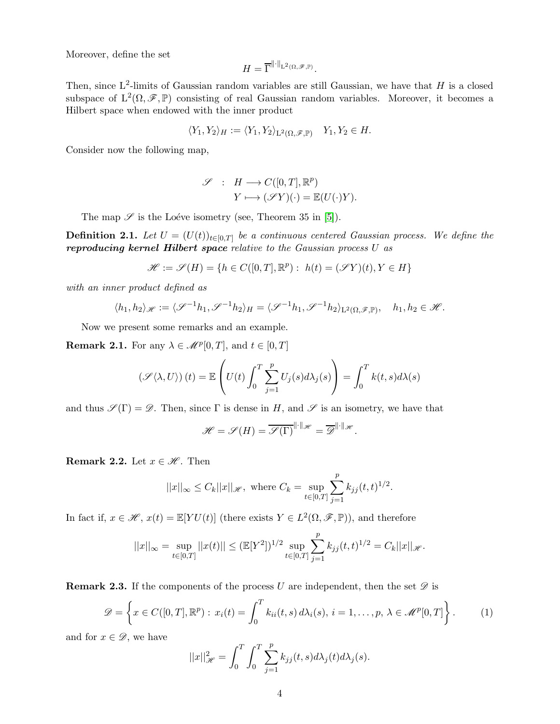Moreover, define the set

$$
H=\overline{\Gamma}^{\|\cdot\|_{\mathrm{L}^2(\Omega,\mathscr{F},\mathbb{P})}}.
$$

Then, since  $L^2$ -limits of Gaussian random variables are still Gaussian, we have that H is a closed subspace of  $L^2(\Omega, \mathscr{F}, \mathbb{P})$  consisting of real Gaussian random variables. Moreover, it becomes a Hilbert space when endowed with the inner product

$$
\langle Y_1, Y_2 \rangle_H := \langle Y_1, Y_2 \rangle_{L^2(\Omega, \mathscr{F}, \mathbb{P})} \quad Y_1, Y_2 \in H.
$$

Consider now the following map,

$$
\mathscr{S} : H \longrightarrow C([0,T], \mathbb{R}^p)
$$

$$
Y \longmapsto (\mathscr{S}Y)(\cdot) = \mathbb{E}(U(\cdot)Y).
$$

The map  $\mathscr S$  is the Loéve isometry (see, Theorem 35 in [\[5\]](#page-24-12)).

<span id="page-3-1"></span>**Definition 2.1.** Let  $U = (U(t))_{t \in [0,T]}$  be a continuous centered Gaussian process. We define the reproducing kernel Hilbert space relative to the Gaussian process U as

$$
\mathscr{H}:=\mathscr{S}(H)=\{h\in C([0,T],\mathbb{R}^p): \ h(t)=(\mathscr{S}Y)(t), Y\in H\}
$$

with an inner product defined as

$$
\langle h_1, h_2 \rangle_{\mathscr{H}} := \langle \mathscr{S}^{-1} h_1, \mathscr{S}^{-1} h_2 \rangle_H = \langle \mathscr{S}^{-1} h_1, \mathscr{S}^{-1} h_2 \rangle_{L^2(\Omega, \mathscr{F}, \mathbb{P})}, \quad h_1, h_2 \in \mathscr{H}.
$$

Now we present some remarks and an example.

<span id="page-3-0"></span>**Remark 2.1.** For any  $\lambda \in \mathcal{M}^p[0,T]$ , and  $t \in [0,T]$ 

$$
\left(\mathscr{S}\langle \lambda, U\rangle\right)(t) = \mathbb{E}\left(U(t)\int_0^T \sum_{j=1}^p U_j(s)d\lambda_j(s)\right) = \int_0^T k(t,s)d\lambda(s)
$$

and thus  $\mathscr{S}(\Gamma) = \mathscr{D}$ . Then, since  $\Gamma$  is dense in H, and  $\mathscr{S}$  is an isometry, we have that

$$
\mathscr{H} = \mathscr{S}(H) = \overline{\mathscr{S}(\Gamma)}^{\|\cdot\|_{\mathscr{H}}} = \overline{\mathscr{D}}^{\|\cdot\|_{\mathscr{H}}}.
$$

<span id="page-3-2"></span>Remark 2.2. Let  $x \in \mathcal{H}$ . Then

$$
||x||_{\infty} \leq C_k ||x||_{\mathscr{H}}, \text{ where } C_k = \sup_{t \in [0,T]} \sum_{j=1}^p k_{jj}(t,t)^{1/2}.
$$

In fact if,  $x \in \mathcal{H}$ ,  $x(t) = \mathbb{E}[YU(t)]$  (there exists  $Y \in L^2(\Omega, \mathcal{F}, \mathbb{P})$ ), and therefore

$$
||x||_{\infty} = \sup_{t \in [0,T]} ||x(t)|| \le (\mathbb{E}[Y^2])^{1/2} \sup_{t \in [0,T]} \sum_{j=1}^p k_{jj}(t,t)^{1/2} = C_k ||x||_{\mathscr{H}}.
$$

<span id="page-3-4"></span>**Remark 2.3.** If the components of the process U are independent, then the set  $\mathscr{D}$  is

<span id="page-3-3"></span>
$$
\mathscr{D} = \left\{ x \in C([0,T],\mathbb{R}^p) : x_i(t) = \int_0^T k_{ii}(t,s) d\lambda_i(s), i = 1,\ldots,p, \lambda \in \mathscr{M}^p[0,T] \right\}.
$$
 (1)

and for  $x \in \mathscr{D}$ , we have

$$
||x||_{\mathcal{H}}^{2} = \int_{0}^{T} \int_{0}^{T} \sum_{j=1}^{p} k_{jj}(t, s) d\lambda_{j}(t) d\lambda_{j}(s).
$$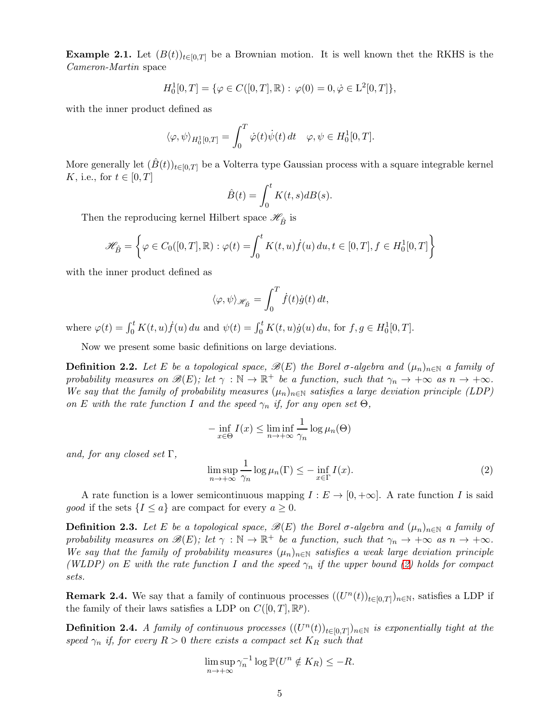<span id="page-4-2"></span>**Example 2.1.** Let  $(B(t))_{t\in[0,T]}$  be a Brownian motion. It is well known thet the RKHS is the Cameron-Martin space

$$
H_0^1[0,T] = \{ \varphi \in C([0,T],\mathbb{R}) : \varphi(0) = 0, \dot{\varphi} \in \mathcal{L}^2[0,T] \},\
$$

with the inner product defined as

$$
\langle \varphi, \psi \rangle_{H_0^1[0,T]} = \int_0^T \dot{\varphi}(t) \dot{\psi}(t) dt \quad \varphi, \psi \in H_0^1[0,T].
$$

More generally let  $(B(t))_{t\in[0,T]}$  be a Volterra type Gaussian process with a square integrable kernel K, i.e., for  $t \in [0, T]$ 

$$
\hat{B}(t) = \int_0^t K(t,s)dB(s).
$$

Then the reproducing kernel Hilbert space  $\mathscr{H}_{\hat{B}}$  is

$$
\mathcal{H}_{\hat{B}} = \left\{ \varphi \in C_0([0, T], \mathbb{R}) : \varphi(t) = \int_0^t K(t, u) \dot{f}(u) \, du, t \in [0, T], f \in H_0^1[0, T] \right\}
$$

with the inner product defined as

$$
\langle \varphi, \psi \rangle_{\mathscr{H}_{\hat{B}}} = \int_0^T \dot{f}(t) \dot{g}(t) dt,
$$

where  $\varphi(t) = \int_0^t K(t, u) \dot{f}(u) du$  and  $\psi(t) = \int_0^t K(t, u) \dot{g}(u) du$ , for  $f, g \in H_0^1[0, T]$ .

Now we present some basic definitions on large deviations.

**Definition 2.2.** Let E be a topological space,  $\mathscr{B}(E)$  the Borel  $\sigma$ -algebra and  $(\mu_n)_{n\in\mathbb{N}}$  a family of probability measures on  $\mathscr{B}(E)$ ; let  $\gamma : \mathbb{N} \to \mathbb{R}^+$  be a function, such that  $\gamma_n \to +\infty$  as  $n \to +\infty$ . We say that the family of probability measures  $(\mu_n)_{n\in\mathbb{N}}$  satisfies a large deviation principle (LDP) on E with the rate function I and the speed  $\gamma_n$  if, for any open set  $\Theta$ ,

$$
-\inf_{x \in \Theta} I(x) \le \liminf_{n \to +\infty} \frac{1}{\gamma_n} \log \mu_n(\Theta)
$$

and, for any closed set  $\Gamma$ ,

<span id="page-4-0"></span>
$$
\limsup_{n \to +\infty} \frac{1}{\gamma_n} \log \mu_n(\Gamma) \le - \inf_{x \in \Gamma} I(x). \tag{2}
$$

A rate function is a lower semicontinuous mapping  $I: E \to [0, +\infty]$ . A rate function I is said *good* if the sets  $\{I \le a\}$  are compact for every  $a \ge 0$ .

**Definition 2.3.** Let E be a topological space,  $\mathscr{B}(E)$  the Borel  $\sigma$ -algebra and  $(\mu_n)_{n\in\mathbb{N}}$  a family of probability measures on  $\mathscr{B}(E)$ ; let  $\gamma : \mathbb{N} \to \mathbb{R}^+$  be a function, such that  $\gamma_n \to +\infty$  as  $n \to +\infty$ . We say that the family of probability measures  $(\mu_n)_{n\in\mathbb{N}}$  satisfies a weak large deviation principle (WLDP) on E with the rate function I and the speed  $\gamma_n$  if the upper bound [\(2\)](#page-4-0) holds for compact sets.

**Remark 2.4.** We say that a family of continuous processes  $((U^n(t))_{t\in[0,T]})_{n\in\mathbb{N}}$ , satisfies a LDP if the family of their laws satisfies a LDP on  $C([0, T], \mathbb{R}^p)$ .

<span id="page-4-1"></span>**Definition 2.4.** A family of continuous processes  $((U^n(t))_{t\in[0,T]})_{n\in\mathbb{N}}$  is exponentially tight at the speed  $\gamma_n$  if, for every  $R > 0$  there exists a compact set  $K_R$  such that

$$
\limsup_{n \to +\infty} \gamma_n^{-1} \log \mathbb{P}(U^n \notin K_R) \le -R.
$$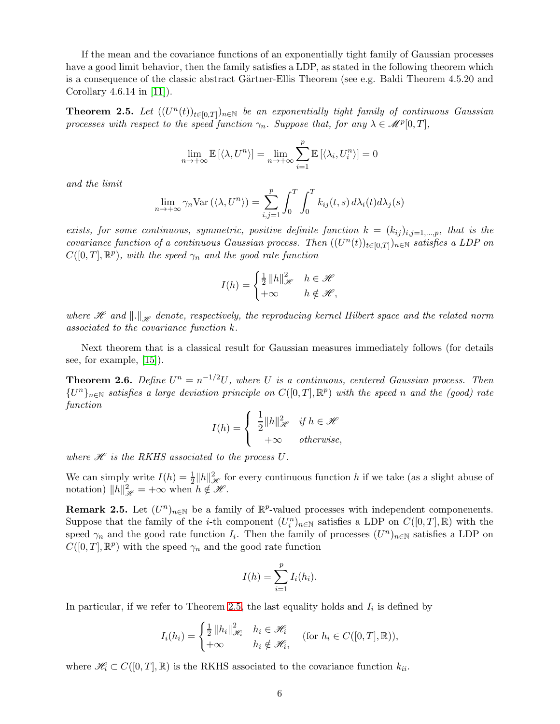If the mean and the covariance functions of an exponentially tight family of Gaussian processes have a good limit behavior, then the family satisfies a LDP, as stated in the following theorem which is a consequence of the classic abstract Gärtner-Ellis Theorem (see e.g. Baldi Theorem 4.5.20 and Corollary 4.6.14 in [\[11\]](#page-24-0)).

<span id="page-5-0"></span>**Theorem 2.5.** Let  $((U^n(t))_{t\in [0,T]})_{n\in \mathbb{N}}$  be an exponentially tight family of continuous Gaussian processes with respect to the speed function  $\gamma_n$ . Suppose that, for any  $\lambda \in \mathcal{M}^p[0,T]$ ,

$$
\lim_{n \to +\infty} \mathbb{E} \left[ \langle \lambda, U^n \rangle \right] = \lim_{n \to +\infty} \sum_{i=1}^p \mathbb{E} \left[ \langle \lambda_i, U_i^n \rangle \right] = 0
$$

and the limit

$$
\lim_{n \to +\infty} \gamma_n \text{Var}\left(\langle \lambda, U^n \rangle\right) = \sum_{i,j=1}^p \int_0^T \int_0^T k_{ij}(t,s) d\lambda_i(t) d\lambda_j(s)
$$

exists, for some continuous, symmetric, positive definite function  $k = (k_{ij})_{i,j=1,\dots,p}$ , that is the covariance function of a continuous Gaussian process. Then  $((U<sup>n</sup>(t))<sub>t\in[0,T])<sub>n\in\mathbb{N}</sub></sub>$  satisfies a LDP on  $C([0,T], \mathbb{R}^p)$ , with the speed  $\gamma_n$  and the good rate function

$$
I(h) = \begin{cases} \frac{1}{2} ||h||_{\mathcal{H}}^2 & h \in \mathcal{H} \\ +\infty & h \notin \mathcal{H}, \end{cases}
$$

where  $\mathscr H$  and  $\Vert .\Vert_{\mathscr H}$  denote, respectively, the reproducing kernel Hilbert space and the related norm associated to the covariance function k.

Next theorem that is a classical result for Gaussian measures immediately follows (for details see, for example, [\[15\]](#page-24-10)).

<span id="page-5-2"></span>**Theorem 2.6.** Define  $U^n = n^{-1/2}U$ , where U is a continuous, centered Gaussian process. Then  ${U<sup>n</sup>}_{n\in\mathbb{N}}$  satisfies a large deviation principle on  $C([0,T],\mathbb{R}^p)$  with the speed n and the (good) rate function

$$
I(h) = \begin{cases} \frac{1}{2} ||h||_{\mathcal{H}}^2 & \text{if } h \in \mathcal{H} \\ +\infty & \text{otherwise,} \end{cases}
$$

where  $\mathscr H$  is the RKHS associated to the process U.

We can simply write  $I(h) = \frac{1}{2} ||h||_{\mathscr{H}}^2$  for every continuous function h if we take (as a slight abuse of notation)  $||h||_{\mathscr{H}}^2 = +\infty$  when  $h \notin \mathscr{H}$ .

<span id="page-5-1"></span>**Remark 2.5.** Let  $(U^n)_{n\in\mathbb{N}}$  be a family of  $\mathbb{R}^p$ -valued processes with independent componenents. Suppose that the family of the *i*-th component  $(U_i^n)_{n\in\mathbb{N}}$  satisfies a LDP on  $C([0,T],\mathbb{R})$  with the speed  $\gamma_n$  and the good rate function  $I_i$ . Then the family of processes  $(U^n)_{n\in\mathbb{N}}$  satisfies a LDP on  $C([0,T],\mathbb{R}^p)$  with the speed  $\gamma_n$  and the good rate function

$$
I(h) = \sum_{i=1}^{p} I_i(h_i).
$$

In particular, if we refer to Theorem [2.5,](#page-5-0) the last equality holds and  $I_i$  is defined by

$$
I_i(h_i) = \begin{cases} \frac{1}{2} ||h_i||_{\mathcal{H}_i}^2 & h_i \in \mathcal{H}_i \\ +\infty & h_i \notin \mathcal{H}_i, \end{cases} \quad \text{(for } h_i \in C([0,T], \mathbb{R}\text{)),}
$$

where  $\mathscr{H}_i \subset C([0,T], \mathbb{R})$  is the RKHS associated to the covariance function  $k_{ii}$ .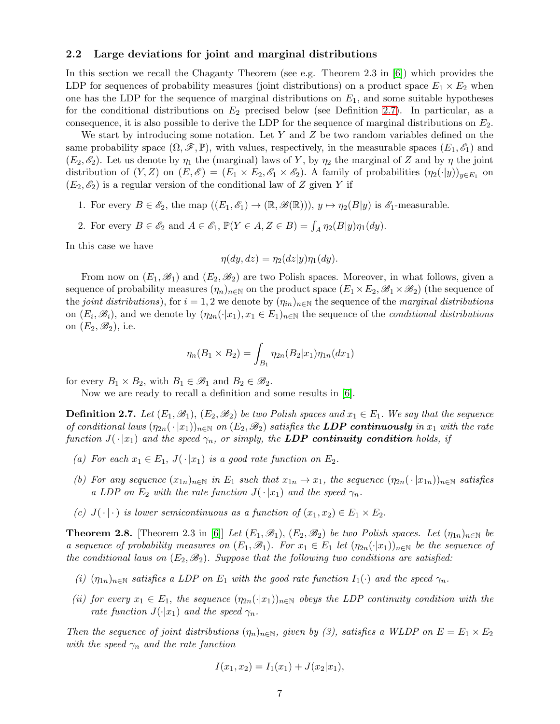#### 2.2 Large deviations for joint and marginal distributions

In this section we recall the Chaganty Theorem (see e.g. Theorem 2.3 in [\[6\]](#page-24-15)) which provides the LDP for sequences of probability measures (joint distributions) on a product space  $E_1 \times E_2$  when one has the LDP for the sequence of marginal distributions on  $E_1$ , and some suitable hypotheses for the conditional distributions on  $E_2$  precised below (see Definition [2.7\)](#page-6-0). In particular, as a consequence, it is also possible to derive the LDP for the sequence of marginal distributions on  $E_2$ .

We start by introducing some notation. Let Y and Z be two random variables defined on the same probability space  $(\Omega, \mathscr{F}, \mathbb{P})$ , with values, respectively, in the measurable spaces  $(E_1, \mathscr{E}_1)$  and  $(E_2, \mathscr{E}_2)$ . Let us denote by  $\eta_1$  the (marginal) laws of Y, by  $\eta_2$  the marginal of Z and by  $\eta$  the joint distribution of  $(Y, Z)$  on  $(E, \mathscr{E}) = (E_1 \times E_2, \mathscr{E}_1 \times \mathscr{E}_2)$ . A family of probabilities  $(\eta_2(\cdot | y))_{y \in E_1}$  on  $(E_2, \mathscr{E}_2)$  is a regular version of the conditional law of Z given Y if

- 1. For every  $B \in \mathscr{E}_2$ , the map  $((E_1, \mathscr{E}_1) \to (\mathbb{R}, \mathscr{B}(\mathbb{R})))$ ,  $y \mapsto \eta_2(B|y)$  is  $\mathscr{E}_1$ -measurable.
- 2. For every  $B \in \mathscr{E}_2$  and  $A \in \mathscr{E}_1$ ,  $\mathbb{P}(Y \in A, Z \in B) = \int_A \eta_2(B|y)\eta_1(dy)$ .

In this case we have

$$
\eta(dy, dz) = \eta_2(dz|y)\eta_1(dy).
$$

From now on  $(E_1, \mathscr{B}_1)$  and  $(E_2, \mathscr{B}_2)$  are two Polish spaces. Moreover, in what follows, given a sequence of probability measures  $(\eta_n)_{n\in\mathbb{N}}$  on the product space  $(E_1\times E_2, \mathscr{B}_1\times \mathscr{B}_2)$  (the sequence of the joint distributions), for  $i = 1, 2$  we denote by  $(\eta_{in})_{n \in \mathbb{N}}$  the sequence of the marginal distributions on  $(E_i, \mathscr{B}_i)$ , and we denote by  $(\eta_{2n}(\cdot|x_1), x_1 \in E_1)_{n \in \mathbb{N}}$  the sequence of the *conditional distributions* on  $(E_2, \mathscr{B}_2)$ , i.e.

$$
\eta_n(B_1 \times B_2) = \int_{B_1} \eta_{2n}(B_2|x_1)\eta_{1n}(dx_1)
$$

for every  $B_1 \times B_2$ , with  $B_1 \in \mathcal{B}_1$  and  $B_2 \in \mathcal{B}_2$ .

Now we are ready to recall a definition and some results in [\[6\]](#page-24-15).

<span id="page-6-0"></span>**Definition 2.7.** Let  $(E_1, \mathscr{B}_1), (E_2, \mathscr{B}_2)$  be two Polish spaces and  $x_1 \in E_1$ . We say that the sequence of conditional laws  $(\eta_{2n}(\cdot|x_1))_{n\in\mathbb{N}}$  on  $(E_2,\mathscr{B}_2)$  satisfies the **LDP continuously** in  $x_1$  with the rate function  $J(\cdot|x_1)$  and the speed  $\gamma_n$ , or simply, the LDP continuity condition holds, if

- (a) For each  $x_1 \in E_1$ ,  $J(\cdot |x_1)$  is a good rate function on  $E_2$ .
- (b) For any sequence  $(x_{1n})_{n\in\mathbb{N}}$  in  $E_1$  such that  $x_{1n} \to x_1$ , the sequence  $(\eta_{2n}(\cdot|x_{1n}))_{n\in\mathbb{N}}$  satisfies a LDP on  $E_2$  with the rate function  $J(\cdot |x_1)$  and the speed  $\gamma_n$ .
- (c)  $J(\cdot | \cdot)$  is lower semicontinuous as a function of  $(x_1, x_2) \in E_1 \times E_2$ .

<span id="page-6-1"></span>**Theorem 2.8.** [Theorem 2.3 in [\[6\]](#page-24-15)] Let  $(E_1, \mathscr{B}_1)$ ,  $(E_2, \mathscr{B}_2)$  be two Polish spaces. Let  $(\eta_{1n})_{n\in\mathbb{N}}$  be a sequence of probability measures on  $(E_1, \mathscr{B}_1)$ . For  $x_1 \in E_1$  let  $(\eta_{2n}(\cdot|x_1))_{n \in \mathbb{N}}$  be the sequence of the conditional laws on  $(E_2, \mathcal{B}_2)$ . Suppose that the following two conditions are satisfied:

- (i)  $(\eta_{1n})_{n\in\mathbb{N}}$  satisfies a LDP on E<sub>1</sub> with the good rate function  $I_1(\cdot)$  and the speed  $\gamma_n$ .
- (ii) for every  $x_1 \in E_1$ , the sequence  $(\eta_{2n}(\cdot|x_1))_{n \in \mathbb{N}}$  obeys the LDP continuity condition with the rate function  $J(\cdot|x_1)$  and the speed  $\gamma_n$ .

Then the sequence of joint distributions  $(\eta_n)_{n\in\mathbb{N}}$ , given by (3), satisfies a WLDP on  $E = E_1 \times E_2$ with the speed  $\gamma_n$  and the rate function

$$
I(x_1, x_2) = I_1(x_1) + J(x_2|x_1),
$$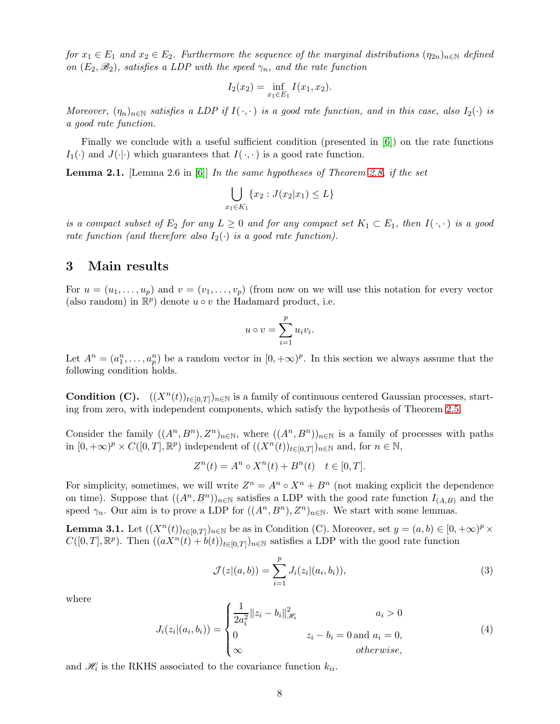for  $x_1 \in E_1$  and  $x_2 \in E_2$ . Furthermore the sequence of the marginal distributions  $(\eta_{2n})_{n\in\mathbb{N}}$  defined on  $(E_2, \mathscr{B}_2)$ , satisfies a LDP with the speed  $\gamma_n$ , and the rate function

$$
I_2(x_2) = \inf_{x_1 \in E_1} I(x_1, x_2).
$$

Moreover,  $(\eta_n)_{n\in\mathbb{N}}$  satisfies a LDP if  $I(\cdot, \cdot)$  is a good rate function, and in this case, also  $I_2(\cdot)$  is a good rate function.

Finally we conclude with a useful sufficient condition (presented in [\[6\]](#page-24-15)) on the rate functions  $I_1(\cdot)$  and  $J(\cdot|\cdot)$  which guarantees that  $I(\cdot,\cdot)$  is a good rate function.

**Lemma 2.1.** [Lemma 2.6 in [\[6\]](#page-24-15)] In the same hypotheses of Theorem [2.8,](#page-6-1) if the set

$$
\bigcup_{x_1 \in K_1} \{x_2 : J(x_2 | x_1) \le L\}
$$

is a compact subset of  $E_2$  for any  $L \geq 0$  and for any compact set  $K_1 \subset E_1$ , then  $I(\cdot, \cdot)$  is a good rate function (and therefore also  $I_2(\cdot)$  is a good rate function).

### <span id="page-7-0"></span>3 Main results

For  $u = (u_1, \ldots, u_p)$  and  $v = (v_1, \ldots, v_p)$  (from now on we will use this notation for every vector (also random) in  $\mathbb{R}^p$ ) denote  $u \circ v$  the Hadamard product, i.e.

$$
u \circ v = \sum_{i=1}^p u_i v_i.
$$

Let  $A^n = (a_1^n, \ldots, a_p^n)$  be a random vector in  $[0, +\infty)^p$ . In this section we always assume that the following condition holds.

**Condition (C).**  $((X^n(t))_{t\in[0,T]})_{n\in\mathbb{N}}$  is a family of continuous centered Gaussian processes, starting from zero, with independent components, which satisfy the hypothesis of Theorem [2.5.](#page-5-0)

Consider the family  $((A^n, B^n), Z^n)_{n\in\mathbb{N}}$ , where  $((A^n, B^n))_{n\in\mathbb{N}}$  is a family of processes with paths in  $[0, +\infty)^p \times C([0, T], \mathbb{R}^p)$  independent of  $((X^n(t))_{t \in [0, T]})_{n \in \mathbb{N}}$  and, for  $n \in \mathbb{N}$ ,

$$
Z^{n}(t) = A^{n} \circ X^{n}(t) + B^{n}(t) \quad t \in [0, T].
$$

For simplicity, sometimes, we will write  $Z^n = A^n \circ X^n + B^n$  (not making explicit the dependence on time). Suppose that  $((A<sup>n</sup>, B<sup>n</sup>))<sub>n\in\mathbb{N}</sub>$  satisfies a LDP with the good rate function  $I_{(A,B)}$  and the speed  $\gamma_n$ . Our aim is to prove a LDP for  $((A^n, B^n), Z^n)_{n \in \mathbb{N}}$ . We start with some lemmas.

<span id="page-7-3"></span>**Lemma 3.1.** Let  $((X^n(t))_{t\in[0,T]})_{n\in\mathbb{N}}$  be as in Condition (C). Moreover, set  $y=(a,b)\in[0,+\infty)^p\times$  $C([0,T],\mathbb{R}^p)$ . Then  $((aX^n(t)+\dot{b}(t))_{t\in[0,T]})_{n\in\mathbb{N}}$  satisfies a LDP with the good rate function

<span id="page-7-1"></span>
$$
\mathcal{J}(z|(a,b)) = \sum_{i=1}^{p} J_i(z_i|(a_i,b_i)),
$$
\n(3)

where

<span id="page-7-2"></span>
$$
J_i(z_i|(a_i, b_i)) = \begin{cases} \frac{1}{2a_i^2} ||z_i - b_i||_{\mathcal{H}_i}^2 & a_i > 0\\ 0 & z_i - b_i = 0 \text{ and } a_i = 0, \\ \infty & otherwise, \end{cases}
$$
(4)

and  $\mathcal{H}_i$  is the RKHS associated to the covariance function  $k_{ii}$ .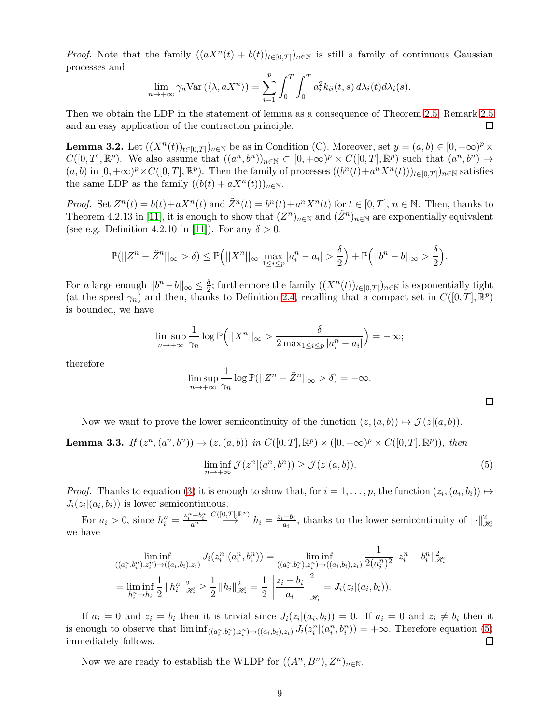*Proof.* Note that the family  $((aX^n(t) + b(t))_{t\in[0,T]})_{n\in\mathbb{N}}$  is still a family of continuous Gaussian processes and

$$
\lim_{n \to +\infty} \gamma_n \text{Var}\left(\langle \lambda, aX^n \rangle\right) = \sum_{i=1}^p \int_0^T \int_0^T a_i^2 k_{ii}(t, s) d\lambda_i(t) d\lambda_i(s).
$$

Then we obtain the LDP in the statement of lemma as a consequence of Theorem [2.5,](#page-5-0) Remark [2.5](#page-5-1) and an easy application of the contraction principle.  $\Box$ 

<span id="page-8-1"></span>**Lemma 3.2.** Let  $((X^n(t))_{t\in[0,T]})_{n\in\mathbb{N}}$  be as in Condition (C). Moreover, set  $y=(a,b)\in[0,+\infty)^p\times$  $C([0,T],\mathbb{R}^p)$ . We also assume that  $((a^n,b^n))_{n\in\mathbb{N}}\subset [0,+\infty)^p\times C([0,T],\mathbb{R}^p)$  such that  $(a^n,b^n)\to$  $(a, b)$  in  $[0, +\infty)^p \times C([0, T], \mathbb{R}^p)$ . Then the family of processes  $((b^n(t) + a^n X^n(t)))_{t \in [0, T]})_{n \in \mathbb{N}}$  satisfies the same LDP as the family  $((b(t) + aX^n(t)))_{n \in \mathbb{N}}$ .

*Proof.* Set  $Z^n(t) = b(t) + aX^n(t)$  and  $\tilde{Z}^n(t) = b^n(t) + a^n X^n(t)$  for  $t \in [0, T]$ ,  $n \in \mathbb{N}$ . Then, thanks to Theorem 4.2.13 in [\[11\]](#page-24-0), it is enough to show that  $(Z^n)_{n\in\mathbb{N}}$  and  $(\tilde{Z}^n)_{n\in\mathbb{N}}$  are exponentially equivalent (see e.g. Definition 4.2.10 in [\[11\]](#page-24-0)). For any  $\delta > 0$ ,

$$
\mathbb{P}(||Z^n - \tilde{Z}^n||_{\infty} > \delta) \le \mathbb{P}\Big(||X^n||_{\infty} \max_{1 \le i \le p} |a_i^n - a_i| > \frac{\delta}{2}\Big) + \mathbb{P}\Big(||b^n - b||_{\infty} > \frac{\delta}{2}\Big).
$$

For n large enough  $||b^n - b||_{\infty} \leq \frac{\delta}{2}$ ; furthermore the family  $((X^n(t))_{t \in [0,T]})_{n \in \mathbb{N}}$  is exponentially tight (at the speed  $\gamma_n$ ) and then, thanks to Definition [2.4,](#page-4-1) recalling that a compact set in  $C([0,T], \mathbb{R}^p)$ is bounded, we have

$$
\limsup_{n \to +\infty} \frac{1}{\gamma_n} \log \mathbb{P}\Big(||X^n||_{\infty} > \frac{\delta}{2 \max_{1 \le i \le p} |a_i^n - a_i|}\Big) = -\infty;
$$

therefore

$$
\limsup_{n \to +\infty} \frac{1}{\gamma_n} \log \mathbb{P}(||Z^n - \tilde{Z}^n||_{\infty} > \delta) = -\infty.
$$

Now we want to prove the lower semicontinuity of the function  $(z,(a, b)) \mapsto \mathcal{J}(z|(a, b)).$ 

<span id="page-8-2"></span>**Lemma 3.3.** If  $(z^n, (a^n, b^n)) \to (z, (a, b))$  in  $C([0, T], \mathbb{R}^p) \times ([0, +\infty)^p \times C([0, T], \mathbb{R}^p))$ , then

<span id="page-8-0"></span>
$$
\liminf_{n \to +\infty} \mathcal{J}(z^n | (a^n, b^n)) \ge \mathcal{J}(z | (a, b)).
$$
\n(5)

*Proof.* Thanks to equation [\(3\)](#page-7-1) it is enough to show that, for  $i = 1, \ldots, p$ , the function  $(z_i, (a_i, b_i)) \mapsto$  $J_i(z_i|(a_i, b_i))$  is lower semicontinuous.

For  $a_i > 0$ , since  $h_i^n = \frac{z_i^n - b_i^n}{a^n}$  ${}^{C([0,T],\mathbb{R}^{p})}$   $h_{i}=\frac{z_{i}-b_{i}}{a_{i}}$  $\frac{-b_i}{a_i}$ , thanks to the lower semicontinuity of  $\lVert \cdot \rVert_{\mathcal{H}_i}^2$ we have

$$
\liminf_{\left((a_i^n, b_i^n\right), z_i^n\right) \to \left((a_i, b_i)\right), z_i\right)} J_i(z_i^n | (a_i^n, b_i^n)) = \liminf_{\left((a_i^n, b_i^n\right), z_i^n\right) \to \left((a_i, b_i)\right), z_i\right)} \frac{1}{2(a_i^n)^2} \|z_i^n - b_i^n\|_{\mathcal{H}_i}^2
$$
\n
$$
= \liminf_{h_i^n \to h_i} \frac{1}{2} \|h_i^n\|_{\mathcal{H}_i}^2 \ge \frac{1}{2} \|h_i\|_{\mathcal{H}_i}^2 = \frac{1}{2} \left\| \frac{z_i - b_i}{a_i} \right\|_{\mathcal{H}_i}^2 = J_i(z_i | (a_i, b_i)).
$$

If  $a_i = 0$  and  $z_i = b_i$  then it is trivial since  $J_i(z_i|(a_i, b_i)) = 0$ . If  $a_i = 0$  and  $z_i \neq b_i$  then it is enough to observe that  $\liminf_{((a_i^n, b_i^n), z_i^n) \to ((a_i, b_i), z_i)} J_i(z_i^n | (a_i^n, b_i^n)) = +\infty$ . Therefore equation [\(5\)](#page-8-0) immediately follows.

Now we are ready to establish the WLDP for  $((A<sup>n</sup>, B<sup>n</sup>), Z<sup>n</sup>)<sub>n\in\mathbb{N}}</sub>$ .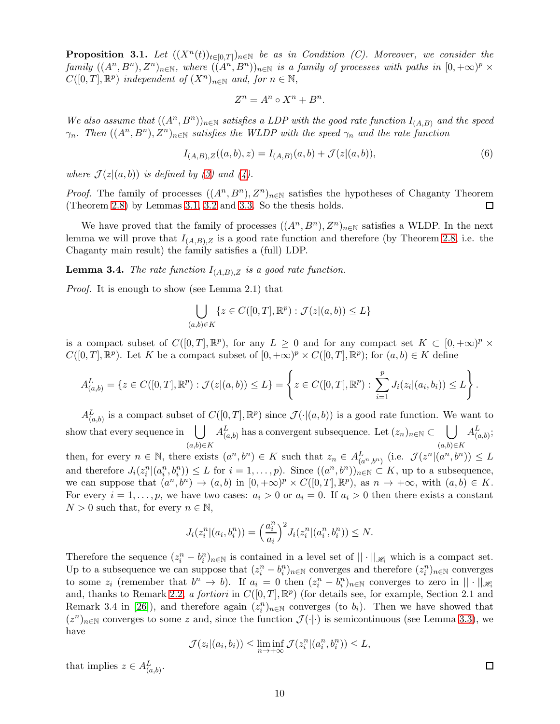**Proposition 3.1.** Let  $((X^n(t))_{t\in[0,T]})_{n\in\mathbb{N}}$  be as in Condition (C). Moreover, we consider the  $family ((A^n, B^n), Z^n)_{n\in\mathbb{N}}$ , where  $((A^n, B^n))_{n\in\mathbb{N}}$  is a family of processes with paths in  $[0, +\infty)^p \times$  $C([0,T], \mathbb{R}^p)$  independent of  $(X^n)_{n \in \mathbb{N}}$  and, for  $n \in \mathbb{N}$ ,

$$
Z^n = A^n \circ X^n + B^n.
$$

We also assume that  $((A^n, B^n))_{n\in\mathbb{N}}$  satisfies a LDP with the good rate function  $I_{(A,B)}$  and the speed  $\gamma_n$ . Then  $((A^n, B^n), Z^n)_{n \in \mathbb{N}}$  satisfies the WLDP with the speed  $\gamma_n$  and the rate function

<span id="page-9-0"></span>
$$
I_{(A,B),Z}((a,b),z) = I_{(A,B)}(a,b) + \mathcal{J}(z|(a,b)),\tag{6}
$$

where  $\mathcal{J}(z|(a, b))$  is defined by [\(3\)](#page-7-1) and [\(4\)](#page-7-2).

*Proof.* The family of processes  $((A^n, B^n), Z^n)_{n \in \mathbb{N}}$  satisfies the hypotheses of Chaganty Theorem (Theorem [2.8\)](#page-6-1) by Lemmas [3.1,](#page-7-3) [3.2](#page-8-1) and [3.3.](#page-8-2) So the thesis holds.  $\Box$ 

We have proved that the family of processes  $((A<sup>n</sup>, B<sup>n</sup>), Z<sup>n</sup>)<sub>n\in\mathbb{N}</sub>$  satisfies a WLDP. In the next lemma we will prove that  $I_{(A,B),Z}$  is a good rate function and therefore (by Theorem [2.8,](#page-6-1) i.e. the Chaganty main result) the family satisfies a (full) LDP.

**Lemma 3.4.** The rate function  $I_{(A,B),Z}$  is a good rate function.

Proof. It is enough to show (see Lemma 2.1) that

$$
\bigcup_{(a,b)\in K} \{z\in C([0,T],\mathbb{R}^p): \mathcal{J}(z|(a,b))\leq L\}
$$

is a compact subset of  $C([0,T], \mathbb{R}^p)$ , for any  $L \geq 0$  and for any compact set  $K \subset [0, +\infty)^p \times$  $C([0,T], \mathbb{R}^p)$ . Let K be a compact subset of  $[0, +\infty)^p \times C([0,T], \mathbb{R}^p)$ ; for  $(a, b) \in K$  define

$$
A_{(a,b)}^L = \{ z \in C([0,T], \mathbb{R}^p) : \mathcal{J}(z|(a,b)) \le L \} = \left\{ z \in C([0,T], \mathbb{R}^p) : \sum_{i=1}^p J_i(z_i|(a_i, b_i)) \le L \right\}.
$$

 $A_{(a,b)}^L$  is a compact subset of  $C([0,T],\mathbb{R}^p)$  since  $\mathcal{J}(\cdot|(a,b))$  is a good rate function. We want to show that every sequence in  $\left[\right]$  $(a,b) \in K$  $A^L_{(a,b)}$  has a convergent subsequence. Let  $(z_n)_{n\in\mathbb{N}}\subset\bigcup$  $(a,b) \in K$  $A^L_{(a,b)}$ ;

then, for every  $n \in \mathbb{N}$ , there exists  $(a^n, b^n) \in K$  such that  $z_n \in A_{(a^n, b^n)}^L$  (i.e.  $\mathcal{J}(z^n|(a^n, b^n)) \leq L$ and therefore  $J_i(z_i^n | (a_i^n, b_i^n)) \leq L$  for  $i = 1, ..., p$ ). Since  $((a^n, b^n))_{n \in \mathbb{N}} \subset K$ , up to a subsequence, we can suppose that  $(a^n, b^n) \to (a, b)$  in  $[0, +\infty)^p \times C([0, T], \mathbb{R}^p)$ , as  $n \to +\infty$ , with  $(a, b) \in K$ . For every  $i = 1, \ldots, p$ , we have two cases:  $a_i > 0$  or  $a_i = 0$ . If  $a_i > 0$  then there exists a constant  $N > 0$  such that, for every  $n \in \mathbb{N}$ ,

$$
J_i(z_i^n|(a_i, b_i^n)) = \left(\frac{a_i^n}{a_i}\right)^2 J_i(z_i^n|(a_i^n, b_i^n)) \le N.
$$

Therefore the sequence  $(z_i^n - b_i^n)_{n \in \mathbb{N}}$  is contained in a level set of  $|| \cdot ||_{\mathcal{H}_i}$  which is a compact set. Up to a subsequence we can suppose that  $(z_i^n - b_i^n)_{n \in \mathbb{N}}$  converges and therefore  $(z_i^n)_{n \in \mathbb{N}}$  converges to some  $z_i$  (remember that  $b^n \to b$ ). If  $a_i = 0$  then  $(z_i^n - b_i^n)_{n \in \mathbb{N}}$  converges to zero in  $|| \cdot ||_{\mathscr{H}_i}$ and, thanks to Remark [2.2,](#page-3-2) a fortiori in  $C([0,T], \mathbb{R}^p)$  (for details see, for example, Section 2.1 and Remark 3.4 in [\[26\]](#page-25-9)), and therefore again  $(z_i^n)_{n\in\mathbb{N}}$  converges (to  $b_i$ ). Then we have showed that  $(z^n)_{n\in\mathbb{N}}$  converges to some z and, since the function  $\mathcal{J}(\cdot|\cdot)$  is semicontinuous (see Lemma [3.3\)](#page-8-2), we have

$$
\mathcal{J}(z_i|(a_i,b_i)) \leq \liminf_{n \to +\infty} \mathcal{J}(z_i^n|(a_i^n,b_i^n)) \leq L,
$$

that implies  $z \in A_{(a,b)}^L$ .

 $\Box$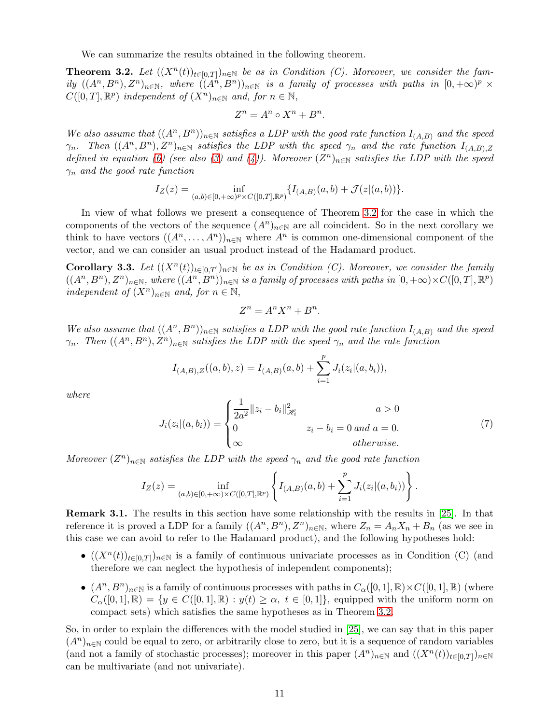We can summarize the results obtained in the following theorem.

<span id="page-10-0"></span>**Theorem 3.2.** Let  $((X^n(t))_{t\in [0,T]})_{n\in \mathbb{N}}$  be as in Condition (C). Moreover, we consider the family  $((A^n, B^n), Z^n)_{n\in\mathbb{N}}$ , where  $((A^n, B^n))_{n\in\mathbb{N}}$  is a family of processes with paths in  $[0, +\infty)^p$   $\times$  $C([0,T], \mathbb{R}^p)$  independent of  $(X^n)_{n \in \mathbb{N}}$  and, for  $n \in \mathbb{N}$ ,

$$
Z^n = A^n \circ X^n + B^n.
$$

We also assume that  $((A^n, B^n))_{n\in\mathbb{N}}$  satisfies a LDP with the good rate function  $I_{(A,B)}$  and the speed  $\gamma_n$ . Then  $((A^n, B^n), Z^n)_{n\in\mathbb{N}}$  satisfies the LDP with the speed  $\gamma_n$  and the rate function  $I_{(A,B),Z}$ defined in equation [\(6\)](#page-9-0) (see also [\(3\)](#page-7-1) and [\(4\)](#page-7-2)). Moreover  $(Z^n)_{n\in\mathbb{N}}$  satisfies the LDP with the speed  $\gamma_n$  and the good rate function

$$
I_Z(z) = \inf_{(a,b) \in [0,+\infty)^p \times C([0,T],\mathbb{R}^p)} \{I_{(A,B)}(a,b) + \mathcal{J}(z|(a,b))\}.
$$

In view of what follows we present a consequence of Theorem [3.2](#page-10-0) for the case in which the components of the vectors of the sequence  $(A^n)_{n\in\mathbb{N}}$  are all coincident. So in the next corollary we think to have vectors  $((A^n, \ldots, A^n))_{n\in\mathbb{N}}$  where  $A^n$  is common one-dimensional component of the vector, and we can consider an usual product instead of the Hadamard product.

<span id="page-10-1"></span>**Corollary 3.3.** Let  $((X^n(t))_{t\in[0,T]})_{n\in\mathbb{N}}$  be as in Condition (C). Moreover, we consider the family  $((A^n, B^n), Z^n)_{n \in \mathbb{N}}$ , where  $((A^n, B^n))_{n \in \mathbb{N}}$  is a family of processes with paths in  $[0, +\infty) \times C([0, T], \mathbb{R}^p)$ independent of  $(X^n)_{n \in \mathbb{N}}$  and, for  $n \in \mathbb{N}$ ,

$$
Z^n = A^n X^n + B^n.
$$

We also assume that  $((A^n, B^n))_{n\in\mathbb{N}}$  satisfies a LDP with the good rate function  $I_{(A,B)}$  and the speed  $\gamma_n$ . Then  $((A^n, B^n), Z^n)_{n \in \mathbb{N}}$  satisfies the LDP with the speed  $\gamma_n$  and the rate function

$$
I_{(A,B),Z}((a,b),z) = I_{(A,B)}(a,b) + \sum_{i=1}^{p} J_i(z_i|(a,b_i)),
$$

where

<span id="page-10-3"></span>
$$
J_i(z_i|(a, b_i)) = \begin{cases} \frac{1}{2a^2} ||z_i - b_i||_{\mathcal{H}_i}^2 & a > 0\\ 0 & z_i - b_i = 0 \text{ and } a = 0.\\ \infty & otherwise. \end{cases}
$$
(7)

Moreover  $(Z^n)_{n\in\mathbb{N}}$  satisfies the LDP with the speed  $\gamma_n$  and the good rate function

$$
I_Z(z) = \inf_{(a,b)\in [0,+\infty)\times C([0,T],\mathbb{R}^p)} \left\{ I_{(A,B)}(a,b) + \sum_{i=1}^p J_i(z_i|(a,b_i)) \right\}.
$$

<span id="page-10-2"></span>Remark 3.1. The results in this section have some relationship with the results in [\[25\]](#page-25-0). In that reference it is proved a LDP for a family  $((A<sup>n</sup>, B<sup>n</sup>), Z<sup>n</sup>)<sub>n\in\mathbb{N}</sub>$ , where  $Z_n = A_n X_n + B_n$  (as we see in this case we can avoid to refer to the Hadamard product), and the following hypotheses hold:

- $((X^n(t))_{t\in[0,T]})_{n\in\mathbb{N}}$  is a family of continuous univariate processes as in Condition (C) (and therefore we can neglect the hypothesis of independent components);
- $(A^n, B^n)_{n \in \mathbb{N}}$  is a family of continuous processes with paths in  $C_{\alpha}([0,1], \mathbb{R}) \times C([0,1], \mathbb{R})$  (where  $C_{\alpha}([0,1], \mathbb{R}) = \{y \in C([0,1], \mathbb{R}) : y(t) \geq \alpha, t \in [0,1]\},$  equipped with the uniform norm on compact sets) which satisfies the same hypotheses as in Theorem [3.2.](#page-10-0)

So, in order to explain the differences with the model studied in [\[25\]](#page-25-0), we can say that in this paper  $(A^n)_{n\in\mathbb{N}}$  could be equal to zero, or arbitrarily close to zero, but it is a sequence of random variables (and not a family of stochastic processes); moreover in this paper  $(A^n)_{n\in\mathbb{N}}$  and  $((X^n(t))_{t\in[0,T]})_{n\in\mathbb{N}}$ can be multivariate (and not univariate).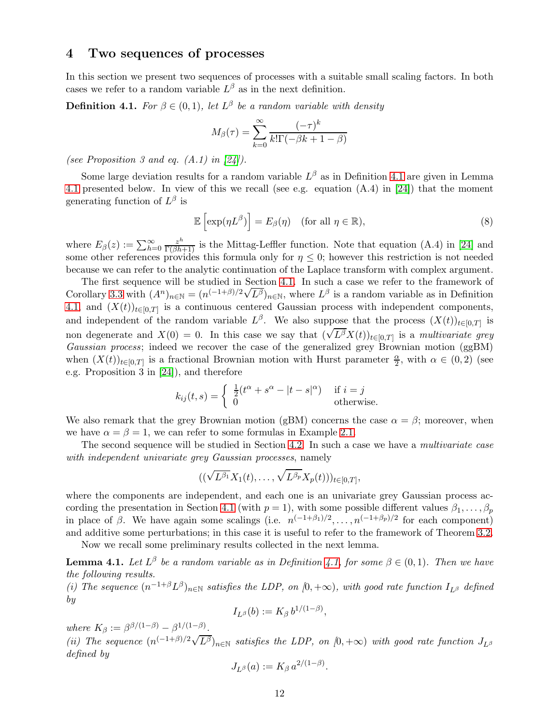### <span id="page-11-0"></span>4 Two sequences of processes

In this section we present two sequences of processes with a suitable small scaling factors. In both cases we refer to a random variable  $L^{\beta}$  as in the next definition.

<span id="page-11-1"></span>**Definition 4.1.** For  $\beta \in (0,1)$ , let  $L^{\beta}$  be a random variable with density

$$
M_{\beta}(\tau) = \sum_{k=0}^{\infty} \frac{(-\tau)^k}{k!\Gamma(-\beta k + 1 - \beta)}
$$

(see Proposition 3 and eq.  $(A.1)$  in  $[24]$ ).

Some large deviation results for a random variable  $L^{\beta}$  as in Definition [4.1](#page-11-1) are given in Lemma [4.1](#page-11-2) presented below. In view of this we recall (see e.g. equation (A.4) in [\[24\]](#page-25-2)) that the moment generating function of  $L^{\beta}$  is

<span id="page-11-3"></span>
$$
\mathbb{E}\left[\exp(\eta L^{\beta})\right] = E_{\beta}(\eta) \quad \text{(for all } \eta \in \mathbb{R}),\tag{8}
$$

where  $E_{\beta}(z) := \sum_{h=0}^{\infty} \frac{z^h}{\Gamma(\beta h+1)}$  is the Mittag-Leffler function. Note that equation (A.4) in [\[24\]](#page-25-2) and some other references provides this formula only for  $\eta \leq 0$ ; however this restriction is not needed because we can refer to the analytic continuation of the Laplace transform with complex argument.

The first sequence will be studied in Section [4.1.](#page-12-0) In such a case we refer to the framework of Corollary [3.3](#page-10-1) with  $(A^n)_{n \in \mathbb{N}} = (n^{(-1+\beta)/2} \sqrt{L^{\beta}})_{n \in \mathbb{N}}$ , where  $L^{\beta}$  is a random variable as in Definition [4.1,](#page-11-1) and  $(X(t))_{t\in[0,T]}$  is a continuous centered Gaussian process with independent components, and independent of the random variable  $L^{\beta}$ . We also suppose that the process  $(X(t))_{t\in[0,T]}$  is non degenerate and  $X(0) = 0$ . In this case we say that  $(\sqrt{L^{\beta}}X(t))_{t\in[0,T]}$  is a multivariate grey Gaussian process; indeed we recover the case of the generalized grey Brownian motion (ggBM) when  $(X(t))_{t\in[0,T]}$  is a fractional Brownian motion with Hurst parameter  $\frac{\alpha}{2}$ , with  $\alpha\in(0,2)$  (see e.g. Proposition 3 in [\[24\]](#page-25-2)), and therefore

$$
k_{ij}(t,s) = \begin{cases} \frac{1}{2}(t^{\alpha} + s^{\alpha} - |t - s|^{\alpha}) & \text{if } i = j \\ 0 & \text{otherwise.} \end{cases}
$$

We also remark that the grey Brownian motion (gBM) concerns the case  $\alpha = \beta$ ; moreover, when we have  $\alpha = \beta = 1$ , we can refer to some formulas in Example [2.1.](#page-4-2)

The second sequence will be studied in Section [4.2.](#page-13-0) In such a case we have a *multivariate case* with independent univariate grey Gaussian processes, namely

$$
((\sqrt{L^{\beta_1}}X_1(t),\ldots,\sqrt{L^{\beta_p}}X_p(t)))_{t\in[0,T]},
$$

where the components are independent, and each one is an univariate grey Gaussian process ac-cording the presentation in Section [4.1](#page-12-0) (with  $p = 1$ ), with some possible different values  $\beta_1, \ldots, \beta_p$ in place of  $\beta$ . We have again some scalings (i.e.  $n^{(-1+\beta_1)/2}, \ldots, n^{(-1+\beta_p)/2}$  for each component) and additive some perturbations; in this case it is useful to refer to the framework of Theorem [3.2.](#page-10-0)

Now we recall some preliminary results collected in the next lemma.

<span id="page-11-2"></span>**Lemma 4.1.** Let  $L^{\beta}$  be a random variable as in Definition [4.1,](#page-11-1) for some  $\beta \in (0,1)$ . Then we have the following results.

(i) The sequence  $(n^{-1+\beta}L^{\beta})_{n\in\mathbb{N}}$  satisfies the LDP, on  $(0, +\infty)$ , with good rate function  $I_{L^{\beta}}$  defined by

$$
I_{L^{\beta}}(b) := K_{\beta} b^{1/(1-\beta)},
$$

where  $K_{\beta} := \beta^{\beta/(1-\beta)} - \beta^{1/(1-\beta)}$ .

(ii) The sequence  $(n^{(-1+\beta)/2}\sqrt{L^{\beta}})_{n\in\mathbb{N}}$  satisfies the LDP, on  $[0, +\infty)$  with good rate function  $J_{L^{\beta}}$ defined by

$$
J_{L^{\beta}}(a) := K_{\beta} a^{2/(1-\beta)}
$$

.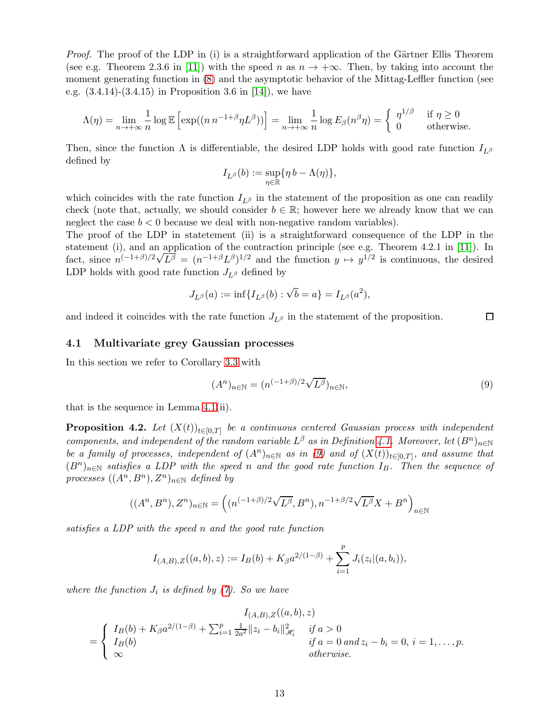*Proof.* The proof of the LDP in (i) is a straightforward application of the Gärtner Ellis Theorem (see e.g. Theorem 2.3.6 in [\[11\]](#page-24-0)) with the speed n as  $n \to +\infty$ . Then, by taking into account the moment generating function in [\(8\)](#page-11-3) and the asymptotic behavior of the Mittag-Leffler function (see e.g. (3.4.14)-(3.4.15) in Proposition 3.6 in [\[14\]](#page-24-16)), we have

$$
\Lambda(\eta) = \lim_{n \to +\infty} \frac{1}{n} \log \mathbb{E}\left[\exp((n \, n^{-1+\beta} \eta L^{\beta}))\right] = \lim_{n \to +\infty} \frac{1}{n} \log E_{\beta}(n^{\beta} \eta) = \begin{cases} \eta^{1/\beta} & \text{if } \eta \ge 0 \\ 0 & \text{otherwise.} \end{cases}
$$

Then, since the function  $\Lambda$  is differentiable, the desired LDP holds with good rate function  $I_{L^{\beta}}$ defined by

$$
I_{L^{\beta}}(b):=\sup_{\eta\in\mathbb{R}}\{\eta\,b-\Lambda(\eta)\},
$$

which coincides with the rate function  $I_{L^{\beta}}$  in the statement of the proposition as one can readily check (note that, actually, we should consider  $b \in \mathbb{R}$ ; however here we already know that we can neglect the case  $b < 0$  because we deal with non-negative random variables).

The proof of the LDP in statetement (ii) is a straightforward consequence of the LDP in the statement (i), and an application of the contraction principle (see e.g. Theorem 4.2.1 in [\[11\]](#page-24-0)). In fact, since  $n^{(-1+\beta)/2}\sqrt{L^{\beta}} = (n^{-1+\beta}L^{\beta})^{1/2}$  and the function  $y \mapsto y^{1/2}$  is continuous, the desired LDP holds with good rate function  $J_{L^{\beta}}$  defined by

$$
J_{L^{\beta}}(a):=\inf\{I_{L^{\beta}}(b): \sqrt{b}=a\}=I_{L^{\beta}}(a^2),
$$

and indeed it coincides with the rate function  $J_{\mu\beta}$  in the statement of the proposition.

#### <span id="page-12-0"></span>4.1 Multivariate grey Gaussian processes

In this section we refer to Corollary [3.3](#page-10-1) with

<span id="page-12-1"></span>
$$
(A^{n})_{n \in \mathbb{N}} = (n^{(-1+\beta)/2} \sqrt{L^{\beta}})_{n \in \mathbb{N}},
$$
\n(9)

 $\Box$ 

that is the sequence in Lemma [4.1\(](#page-11-2)ii).

<span id="page-12-2"></span>**Proposition 4.2.** Let  $(X(t))_{t\in[0,T]}$  be a continuous centered Gaussian process with independent components, and independent of the random variable  $L^{\beta}$  as in Definition [4.1.](#page-11-1) Moreover, let  $(B^{n})_{n\in\mathbb{N}}$ be a family of processes, independent of  $(A^n)_{n\in\mathbb{N}}$  as in [\(9\)](#page-12-1) and of  $(X(t))_{t\in[0,T]}$ , and assume that  $(B<sup>n</sup>)<sub>n\in\mathbb{N}</sub>$  satisfies a LDP with the speed n and the good rate function  $I_B$ . Then the sequence of processes  $((A^n, B^n), Z^n)_{n \in \mathbb{N}}$  defined by

$$
((A^n, B^n), Z^n)_{n \in \mathbb{N}} = ((n^{(-1+\beta)/2}\sqrt{L^{\beta}}, B^n), n^{-1+\beta/2}\sqrt{L^{\beta}}X + B^n)_{n \in \mathbb{N}}
$$

satisfies a LDP with the speed n and the good rate function

$$
I_{(A,B),Z}((a,b),z) := I_B(b) + K_\beta a^{2/(1-\beta)} + \sum_{i=1}^p J_i(z_i|(a,b_i)),
$$

where the function  $J_i$  is defined by  $(7)$ . So we have

$$
I_{(A,B),Z}((a,b),z)
$$
  
= 
$$
\begin{cases} I_B(b) + K_\beta a^{2/(1-\beta)} + \sum_{i=1}^p \frac{1}{2a^2} ||z_i - b_i||_{\mathcal{H}_i}^2 & \text{if } a > 0 \\ I_B(b) & \text{if } a = 0 \text{ and } z_i - b_i = 0, \ i = 1, \dots, p. \\ \infty & \text{otherwise.} \end{cases}
$$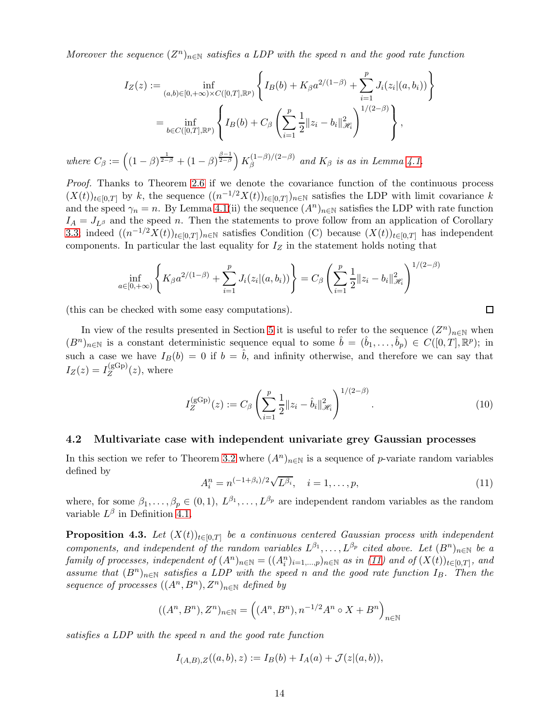Moreover the sequence  $(Z^n)_{n\in\mathbb{N}}$  satisfies a LDP with the speed n and the good rate function

$$
I_Z(z) := \inf_{(a,b)\in[0,+\infty)\times C([0,T],\mathbb{R}^p)} \left\{ I_B(b) + K_\beta a^{2/(1-\beta)} + \sum_{i=1}^p J_i(z_i|(a,b_i)) \right\}
$$
  
= 
$$
\inf_{b\in C([0,T],\mathbb{R}^p)} \left\{ I_B(b) + C_\beta \left( \sum_{i=1}^p \frac{1}{2} ||z_i - b_i||_{\mathcal{H}_i}^2 \right)^{1/(2-\beta)} \right\},
$$

where  $C_{\beta} := \left( (1 - \beta)^{\frac{1}{2-\beta}} + (1 - \beta)^{\frac{\beta-1}{2-\beta}} \right) K_{\beta}^{(1-\beta)/(2-\beta)}$  $\beta_{\beta}^{(1-p)/(2-p)}$  and  $K_{\beta}$  is as in Lemma [4.1.](#page-11-2)

Proof. Thanks to Theorem [2.6](#page-5-2) if we denote the covariance function of the continuous process  $(X(t))_{t\in[0,T]}$  by k, the sequence  $((n^{-1/2}X(t))_{t\in[0,T]})_{n\in\mathbb{N}}$  satisfies the LDP with limit covariance k and the speed  $\gamma_n = n$ . By Lemma [4.1\(](#page-11-2)ii) the sequence  $(A^n)_{n \in \mathbb{N}}$  satisfies the LDP with rate function  $I_A = J_{L^{\beta}}$  and the speed n. Then the statements to prove follow from an application of Corollary [3.3;](#page-10-1) indeed  $((n^{-1/2}X(t))_{t\in[0,T]})_{n\in\mathbb{N}}$  satisfies Condition (C) because  $(X(t))_{t\in[0,T]}$  has independent components. In particular the last equality for  $I_Z$  in the statement holds noting that

$$
\inf_{a \in [0, +\infty)} \left\{ K_{\beta} a^{2/(1-\beta)} + \sum_{i=1}^p J_i(z_i | (a, b_i)) \right\} = C_{\beta} \left( \sum_{i=1}^p \frac{1}{2} ||z_i - b_i||_{\mathcal{H}_i}^2 \right)^{1/(2-\beta)}
$$

(this can be checked with some easy computations).

In view of the results presented in Section [5](#page-15-2) it is useful to refer to the sequence  $(Z^n)_{n\in\mathbb{N}}$  when  $(B^n)_{n\in\mathbb{N}}$  is a constant deterministic sequence equal to some  $\hat{b} = (\hat{b}_1,\ldots,\hat{b}_p) \in C([0,T],\mathbb{R}^p)$ ; in such a case we have  $I_B(b) = 0$  if  $b = \hat{b}$ , and infinity otherwise, and therefore we can say that  $I_Z(z)=I_Z^{\text{(gGp)}}$  $Z^{(\text{gGp})}(z)$ , where

<span id="page-13-3"></span>
$$
I_Z^{(\text{gGp})}(z) := C_\beta \left( \sum_{i=1}^p \frac{1}{2} ||z_i - \hat{b}_i||_{\mathcal{H}_i}^2 \right)^{1/(2-\beta)}.
$$
 (10)

#### <span id="page-13-0"></span>4.2 Multivariate case with independent univariate grey Gaussian processes

In this section we refer to Theorem [3.2](#page-10-0) where  $(A^n)_{n\in\mathbb{N}}$  is a sequence of p-variate random variables defined by

<span id="page-13-1"></span>
$$
A_i^n = n^{(-1+\beta_i)/2} \sqrt{L^{\beta_i}}, \quad i = 1, \dots, p,
$$
\n(11)

where, for some  $\beta_1, \ldots, \beta_p \in (0,1), L^{\beta_1}, \ldots, L^{\beta_p}$  are independent random variables as the random variable  $L^{\beta}$  in Definition [4.1.](#page-11-1)

<span id="page-13-2"></span>**Proposition 4.3.** Let  $(X(t))_{t\in[0,T]}$  be a continuous centered Gaussian process with independent components, and independent of the random variables  $L^{\beta_1}, \ldots, L^{\beta_p}$  cited above. Let  $(B^n)_{n \in \mathbb{N}}$  be a family of processes, independent of  $(A^n)_{n\in\mathbb{N}} = ((A_i^n)_{i=1,\dots,p})_{n\in\mathbb{N}}$  as in [\(11\)](#page-13-1) and of  $(X(t))_{t\in[0,T]}$ , and assume that  $(B^n)_{n\in\mathbb{N}}$  satisfies a LDP with the speed n and the good rate function  $I_B$ . Then the sequence of processes  $((A<sup>n</sup>, B<sup>n</sup>), Z<sup>n</sup>)<sub>n\in\mathbb{N}</sub>$  defined by

$$
((A^n, B^n), Z^n)_{n \in \mathbb{N}} = ((A^n, B^n), n^{-1/2} A^n \circ X + B^n)_{n \in \mathbb{N}}
$$

satisfies a LDP with the speed n and the good rate function

$$
I_{(A,B),Z}((a,b),z) := I_B(b) + I_A(a) + \mathcal{J}(z|(a,b)),
$$

 $\Box$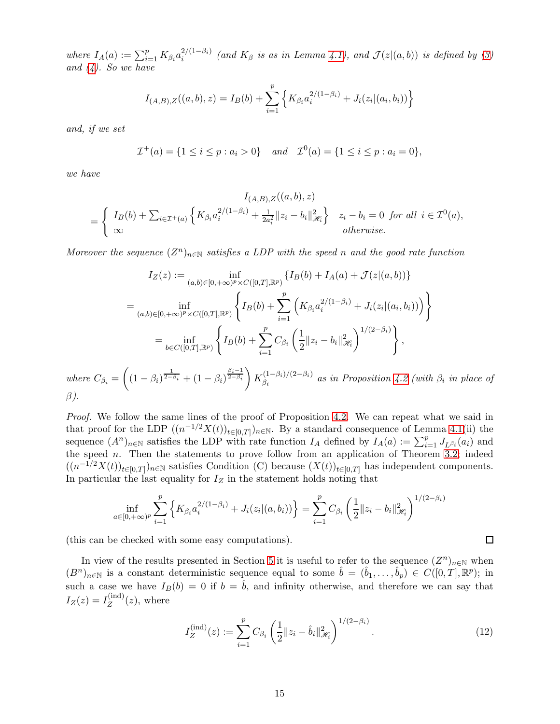where  $I_A(a) := \sum_{i=1}^p K_{\beta_i} a_i^{2/(1-\beta_i)}$  $i^{2/(1-p_i)}$  (and  $K_\beta$  is as in Lemma [4.1\)](#page-11-2), and  $\mathcal{J}(z|(a,b))$  is defined by [\(3\)](#page-7-1) and  $(4)$ . So we have

$$
I_{(A,B),Z}((a,b),z) = I_B(b) + \sum_{i=1}^p \left\{ K_{\beta_i} a_i^{2/(1-\beta_i)} + J_i(z_i|(a_i,b_i)) \right\}
$$

and, if we set

$$
\mathcal{I}^+(a) = \{1 \le i \le p : a_i > 0\}
$$
 and  $\mathcal{I}^0(a) = \{1 \le i \le p : a_i = 0\},\$ 

we have

$$
I_{(A,B),Z}((a,b),z)
$$
  
= 
$$
\begin{cases} I_B(b) + \sum_{i \in \mathcal{I}^+(a)} \left\{ K_{\beta_i} a_i^{2/(1-\beta_i)} + \frac{1}{2a_i^2} ||z_i - b_i||_{\mathcal{H}_i}^2 \right\} & z_i - b_i = 0 \text{ for all } i \in \mathcal{I}^0(a), \\ \infty & \text{otherwise.} \end{cases}
$$

Moreover the sequence  $(Z^n)_{n\in\mathbb{N}}$  satisfies a LDP with the speed n and the good rate function

$$
I_Z(z) := \inf_{(a,b)\in[0,+\infty)^p\times C([0,T],\mathbb{R}^p)} \{I_B(b) + I_A(a) + \mathcal{J}(z|(a,b))\}
$$
  
= 
$$
\inf_{(a,b)\in[0,+\infty)^p\times C([0,T],\mathbb{R}^p)} \left\{ I_B(b) + \sum_{i=1}^p \left( K_{\beta_i} a_i^{2/(1-\beta_i)} + J_i(z_i|(a_i,b_i)) \right) \right\}
$$
  
= 
$$
\inf_{b\in C([0,T],\mathbb{R}^p)} \left\{ I_B(b) + \sum_{i=1}^p C_{\beta_i} \left( \frac{1}{2} ||z_i - b_i||_{\mathcal{H}_i}^2 \right)^{1/(2-\beta_i)} \right\},
$$

where  $C_{\beta_i} = \left( (1 - \beta_i)^{\frac{1}{2 - \beta_i}} + (1 - \beta_i)^{\frac{\beta_i - 1}{2 - \beta_i}} \right) K_{\beta_i}^{(1 - \beta_i)/(2 - \beta_i)}$  $\beta_i^{(1-p_i)/(2-p_i)}$  as in Proposition [4.2](#page-12-2) (with  $\beta_i$  in place of  $\beta$ ).

Proof. We follow the same lines of the proof of Proposition [4.2.](#page-12-2) We can repeat what we said in that proof for the LDP  $((n^{-1/2}X(t))_{t\in[0,T]})_{n\in\mathbb{N}}$ . By a standard consequence of Lemma [4.1\(](#page-11-2)ii) the sequence  $(A^n)_{n\in\mathbb{N}}$  satisfies the LDP with rate function  $I_A$  defined by  $I_A(a) := \sum_{i=1}^p J_{L^{\beta_i}}(a_i)$  and the speed  $n$ . Then the statements to prove follow from an application of Theorem [3.2;](#page-10-0) indeed  $((n^{-1/2}X(t))_{t\in[0,T]})_{n\in\mathbb{N}}$  satisfies Condition (C) because  $(X(t))_{t\in[0,T]}$  has independent components. In particular the last equality for  $I_Z$  in the statement holds noting that

$$
\inf_{a \in [0, +\infty)^p} \sum_{i=1}^p \left\{ K_{\beta_i} a_i^{2/(1-\beta_i)} + J_i(z_i | (a, b_i)) \right\} = \sum_{i=1}^p C_{\beta_i} \left( \frac{1}{2} \| z_i - b_i \|_{\mathcal{H}_i}^2 \right)^{1/(2-\beta_i)}
$$

(this can be checked with some easy computations).

In view of the results presented in Section [5](#page-15-2) it is useful to refer to the sequence  $(Z^n)_{n\in\mathbb{N}}$  when  $(B^n)_{n\in\mathbb{N}}$  is a constant deterministic sequence equal to some  $\hat{b} = (\hat{b}_1,\ldots,\hat{b}_p) \in C([0,T],\mathbb{R}^p)$ ; in such a case we have  $I_B(b) = 0$  if  $b = \hat{b}$ , and infinity otherwise, and therefore we can say that  $I_Z(z)=I_Z^{(\mathrm{ind})}$  $Z^{(\text{ind})}(z)$ , where

<span id="page-14-0"></span>
$$
I_Z^{(\text{ind})}(z) := \sum_{i=1}^p C_{\beta_i} \left(\frac{1}{2} \|z_i - \hat{b}_i\|_{\mathcal{H}_i}^2\right)^{1/(2-\beta_i)}.
$$
 (12)

 $\Box$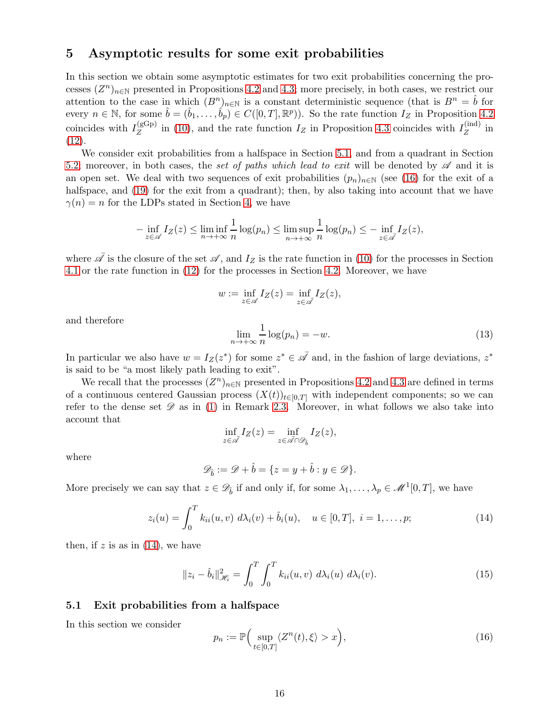## <span id="page-15-2"></span>5 Asymptotic results for some exit probabilities

In this section we obtain some asymptotic estimates for two exit probabilities concerning the processes  $(Z^n)_{n\in\mathbb{N}}$  presented in Propositions [4.2](#page-12-2) and [4.3;](#page-13-2) more precisely, in both cases, we restrict our attention to the case in which  $(B^n)_{n\in\mathbb{N}}$  is a constant deterministic sequence (that is  $B^n = \hat{b}$  for every  $n \in \mathbb{N}$ , for some  $\hat{b} = (\hat{b}_1, \dots, \hat{b}_p) \in C([0, T], \mathbb{R}^p)$ . So the rate function  $I_Z$  in Proposition [4.2](#page-12-2) coincides with  $I_Z^{\text{(gGp)}}$  $\chi_Z^{\text{(gGp)}}$  in [\(10\)](#page-13-3), and the rate function  $I_Z$  in Proposition [4.3](#page-13-2) coincides with  $I_Z^{\text{(ind)}}$  $Z^{\text{(ind)}}$  in [\(12\)](#page-14-0).

We consider exit probabilities from a halfspace in Section [5.1,](#page-15-0) and from a quadrant in Section [5.2;](#page-19-0) moreover, in both cases, the set of paths which lead to exit will be denoted by  $\mathscr A$  and it is an open set. We deal with two sequences of exit probabilities  $(p_n)_{n\in\mathbb{N}}$  (see [\(16\)](#page-15-3) for the exit of a halfspace, and [\(19\)](#page-19-1) for the exit from a quadrant); then, by also taking into account that we have  $\gamma(n) = n$  for the LDPs stated in Section [4,](#page-11-0) we have

$$
-\inf_{z \in \mathscr{A}} I_Z(z) \le \liminf_{n \to +\infty} \frac{1}{n} \log(p_n) \le \limsup_{n \to +\infty} \frac{1}{n} \log(p_n) \le -\inf_{z \in \mathscr{A}} I_Z(z),
$$

where  $\bar{\mathscr{A}}$  is the closure of the set  $\mathscr{A}$ , and  $I_Z$  is the rate function in [\(10\)](#page-13-3) for the processes in Section [4.1](#page-12-0) or the rate function in [\(12\)](#page-14-0) for the processes in Section [4.2.](#page-13-0) Moreover, we have

$$
w := \inf_{z \in \mathscr{A}} I_Z(z) = \inf_{z \in \mathscr{A}} I_Z(z),
$$

and therefore

<span id="page-15-1"></span>
$$
\lim_{n \to +\infty} \frac{1}{n} \log(p_n) = -w. \tag{13}
$$

In particular we also have  $w = I_Z(z^*)$  for some  $z^* \in \overline{A}$  and, in the fashion of large deviations,  $z^*$ is said to be "a most likely path leading to exit".

We recall that the processes  $(Z^n)_{n\in\mathbb{N}}$  presented in Propositions [4.2](#page-12-2) and [4.3](#page-13-2) are defined in terms of a continuous centered Gaussian process  $(X(t))_{t\in[0,T]}$  with independent components; so we can refer to the dense set  $\mathscr D$  as in [\(1\)](#page-3-3) in Remark [2.3.](#page-3-4) Moreover, in what follows we also take into account that

$$
\inf_{z \in \bar{\mathscr{A}}} I_Z(z) = \inf_{z \in \bar{\mathscr{A}} \cap \mathscr{D}_{\hat{b}}} I_Z(z),
$$

where

$$
\mathscr{D}_{\hat{b}} := \mathscr{D} + \hat{b} = \{ z = y + \hat{b} : y \in \mathscr{D} \}.
$$

More precisely we can say that  $z \in \mathscr{D}_{\hat{b}}$  if and only if, for some  $\lambda_1, \ldots, \lambda_p \in \mathscr{M}^1[0,T]$ , we have

<span id="page-15-4"></span>
$$
z_i(u) = \int_0^T k_{ii}(u, v) \ d\lambda_i(v) + \hat{b}_i(u), \quad u \in [0, T], \ i = 1, \dots, p; \tag{14}
$$

then, if z is as in  $(14)$ , we have

<span id="page-15-5"></span>
$$
||z_i - \hat{b}_i||_{\mathcal{H}_i}^2 = \int_0^T \int_0^T k_{ii}(u, v) \ d\lambda_i(u) \ d\lambda_i(v).
$$
 (15)

#### <span id="page-15-0"></span>5.1 Exit probabilities from a halfspace

In this section we consider

<span id="page-15-3"></span>
$$
p_n := \mathbb{P}\Big(\sup_{t \in [0,T]} \langle Z^n(t), \xi \rangle > x\Big),\tag{16}
$$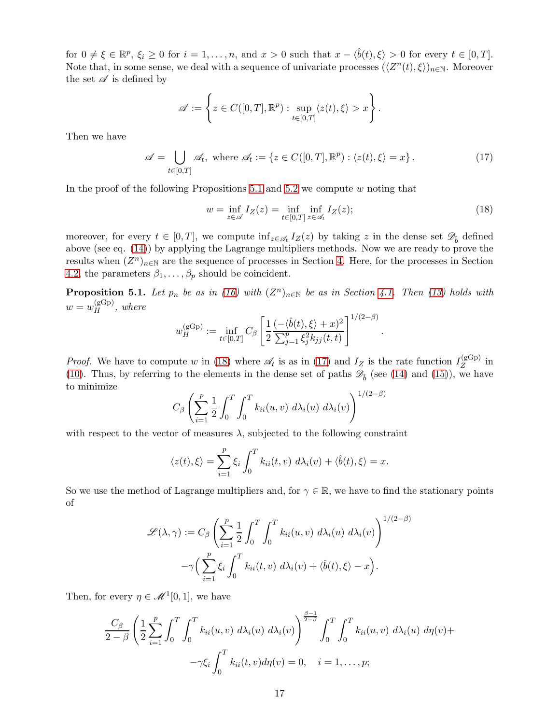for  $0 \neq \xi \in \mathbb{R}^p$ ,  $\xi_i \geq 0$  for  $i = 1, ..., n$ , and  $x > 0$  such that  $x - \langle \hat{b}(t), \xi \rangle > 0$  for every  $t \in [0, T]$ . Note that, in some sense, we deal with a sequence of univariate processes  $(\langle Z^n(t), \xi \rangle)_{n \in \mathbb{N}}$ . Moreover the set  $\mathscr A$  is defined by

$$
\mathscr{A} := \left\{ z \in C([0,T], \mathbb{R}^p) : \sup_{t \in [0,T]} \langle z(t), \xi \rangle > x \right\}.
$$

Then we have

<span id="page-16-2"></span>
$$
\mathscr{A} = \bigcup_{t \in [0,T]} \mathscr{A}_t, \text{ where } \mathscr{A}_t := \{ z \in C([0,T], \mathbb{R}^p) : \langle z(t), \xi \rangle = x \}. \tag{17}
$$

In the proof of the following Propositions [5.1](#page-16-0) and [5.2](#page-17-0) we compute  $w$  noting that

<span id="page-16-1"></span>
$$
w = \inf_{z \in \mathscr{A}} I_Z(z) = \inf_{t \in [0,T]} \inf_{z \in \mathscr{A}_t} I_Z(z); \tag{18}
$$

.

moreover, for every  $t \in [0,T]$ , we compute  $\inf_{z \in \mathscr{A}_t} I_Z(z)$  by taking z in the dense set  $\mathscr{D}_b$  defined above (see eq. [\(14\)](#page-15-4)) by applying the Lagrange multipliers methods. Now we are ready to prove the results when  $(Z^n)_{n\in\mathbb{N}}$  are the sequence of processes in Section [4.](#page-11-0) Here, for the processes in Section [4.2,](#page-13-0) the parameters  $\beta_1, \ldots, \beta_p$  should be coincident.

<span id="page-16-0"></span>**Proposition 5.1.** Let  $p_n$  be as in [\(16\)](#page-15-3) with  $(Z^n)_{n\in\mathbb{N}}$  be as in Section [4.1.](#page-12-0) Then [\(13\)](#page-15-1) holds with  $w=w^{(\rm gGp)}_H$  $H^{\text{(gGP)}}$ , where

$$
w_H^{\text{(gGp)}} := \inf_{t \in [0,T]} C_\beta \left[ \frac{1}{2} \frac{(-\langle \hat{b}(t), \xi \rangle + x)^2}{\sum_{j=1}^p \xi_j^2 k_{jj}(t,t)} \right]^{1/(2-\beta)}
$$

*Proof.* We have to compute w in [\(18\)](#page-16-1) where  $\mathscr{A}_t$  is as in [\(17\)](#page-16-2) and  $I_Z$  is the rate function  $I_Z^{\text{(gGp)}}$  $Z^{\rm (gcp)}$  in [\(10\)](#page-13-3). Thus, by referring to the elements in the dense set of paths  $\mathscr{D}_{\hat{b}}$  (see [\(14\)](#page-15-4) and [\(15\)](#page-15-5)), we have to minimize

$$
C_{\beta} \left( \sum_{i=1}^{p} \frac{1}{2} \int_0^T \int_0^T k_{ii}(u, v) \ d\lambda_i(u) \ d\lambda_i(v) \right)^{1/(2-\beta)}
$$

with respect to the vector of measures  $\lambda$ , subjected to the following constraint

$$
\langle z(t), \xi \rangle = \sum_{i=1}^{p} \xi_i \int_0^T k_{ii}(t, v) \ d\lambda_i(v) + \langle \hat{b}(t), \xi \rangle = x.
$$

So we use the method of Lagrange multipliers and, for  $\gamma \in \mathbb{R}$ , we have to find the stationary points of

$$
\mathcal{L}(\lambda, \gamma) := C_{\beta} \left( \sum_{i=1}^{p} \frac{1}{2} \int_{0}^{T} \int_{0}^{T} k_{ii}(u, v) \ d\lambda_{i}(u) \ d\lambda_{i}(v) \right)^{1/(2-\beta)}
$$

$$
-\gamma \left( \sum_{i=1}^{p} \xi_{i} \int_{0}^{T} k_{ii}(t, v) \ d\lambda_{i}(v) + \langle \hat{b}(t), \xi \rangle - x \right).
$$

Then, for every  $\eta \in \mathcal{M}^1[0,1]$ , we have

$$
\frac{C_{\beta}}{2-\beta} \left( \frac{1}{2} \sum_{i=1}^p \int_0^T \int_0^T k_{ii}(u,v) \ d\lambda_i(u) \ d\lambda_i(v) \right)^{\frac{\beta-1}{2-\beta}} \int_0^T \int_0^T k_{ii}(u,v) \ d\lambda_i(u) \ d\eta(v) +
$$

$$
-\gamma \xi_i \int_0^T k_{ii}(t,v) d\eta(v) = 0, \quad i = 1,\dots,p;
$$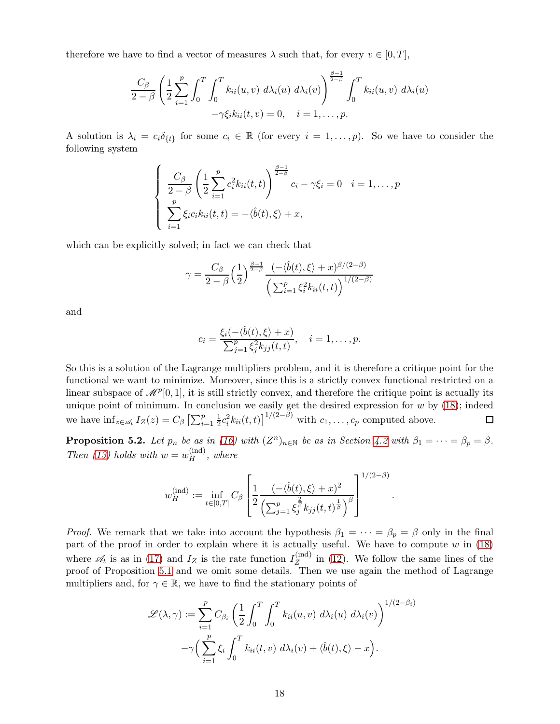therefore we have to find a vector of measures  $\lambda$  such that, for every  $v \in [0, T]$ ,

$$
\frac{C_{\beta}}{2-\beta} \left( \frac{1}{2} \sum_{i=1}^p \int_0^T \int_0^T k_{ii}(u,v) \ d\lambda_i(u) \ d\lambda_i(v) \right)^{\frac{\beta-1}{2-\beta}} \int_0^T k_{ii}(u,v) \ d\lambda_i(u) -\gamma \xi_i k_{ii}(t,v) = 0, \quad i = 1, \ldots, p.
$$

A solution is  $\lambda_i = c_i \delta_{\{t\}}$  for some  $c_i \in \mathbb{R}$  (for every  $i = 1, \ldots, p$ ). So we have to consider the following system

$$
\begin{cases}\n\frac{C_{\beta}}{2-\beta} \left( \frac{1}{2} \sum_{i=1}^{p} c_i^2 k_{ii}(t, t) \right)^{\frac{\beta-1}{2-\beta}} c_i - \gamma \xi_i = 0 & i = 1, \dots, p \\
\sum_{i=1}^{p} \xi_i c_i k_{ii}(t, t) = -\langle \hat{b}(t), \xi \rangle + x,\n\end{cases}
$$

which can be explicitly solved; in fact we can check that

$$
\gamma = \frac{C_{\beta}}{2-\beta} \left(\frac{1}{2}\right)^{\frac{\beta-1}{2-\beta}} \frac{\left(-\langle \hat{b}(t), \xi \rangle + x \right)^{\beta/(2-\beta)}}{\left(\sum_{i=1}^{p} \xi_i^2 k_{ii}(t, t)\right)^{1/(2-\beta)}}
$$

and

$$
c_i = \frac{\xi_i(-\langle \hat{b}(t), \xi \rangle + x)}{\sum_{j=1}^p \xi_j^2 k_{jj}(t, t)}, \quad i = 1, \dots, p.
$$

So this is a solution of the Lagrange multipliers problem, and it is therefore a critique point for the functional we want to minimize. Moreover, since this is a strictly convex functional restricted on a linear subspace of  $\mathcal{M}^p[0,1]$ , it is still strictly convex, and therefore the critique point is actually its unique point of minimum. In conclusion we easily get the desired expression for  $w$  by  $(18)$ ; indeed  $\frac{1}{2}c_i^2k_{ii}(t,t)\right]^{1/(2-\beta)}$  with  $c_1,\ldots,c_p$  computed above. we have  $\inf_{z \in \mathscr{A}_t} I_Z(z) = C_\beta \left[ \sum_{i=1}^p \frac{1}{2} \right]$  $\Box$ 

<span id="page-17-0"></span>**Proposition 5.2.** Let  $p_n$  be as in [\(16\)](#page-15-3) with  $(Z^n)_{n \in \mathbb{N}}$  be as in Section [4.2](#page-13-0) with  $\beta_1 = \cdots = \beta_p = \beta$ . Then [\(13\)](#page-15-1) holds with  $w = w_H^{\text{(ind)}}$  $H^{(\text{ind})}$ , where

$$
w_H^{(\text{ind})} := \inf_{t \in [0,T]} C_{\beta} \left[ \frac{1}{2} \frac{(-\langle \hat{b}(t), \xi \rangle + x)^2}{\left(\sum_{j=1}^p \xi_j^{\frac{2}{\beta}} k_{jj}(t,t)^{\frac{1}{\beta}}\right)^{\beta}} \right]^{1/(2-\beta)}
$$

.

*Proof.* We remark that we take into account the hypothesis  $\beta_1 = \cdots = \beta_p = \beta$  only in the final part of the proof in order to explain where it is actually useful. We have to compute  $w$  in  $(18)$ where  $\mathscr{A}_t$  is as in [\(17\)](#page-16-2) and  $I_Z$  is the rate function  $I_Z^{\text{(ind)}}$  $\chi_Z^{\text{(ma)}}$  in [\(12\)](#page-14-0). We follow the same lines of the proof of Proposition [5.1](#page-16-0) and we omit some details. Then we use again the method of Lagrange multipliers and, for  $\gamma \in \mathbb{R}$ , we have to find the stationary points of

$$
\mathscr{L}(\lambda, \gamma) := \sum_{i=1}^{p} C_{\beta_i} \left( \frac{1}{2} \int_0^T \int_0^T k_{ii}(u, v) \ d\lambda_i(u) \ d\lambda_i(v) \right)^{1/(2-\beta_i)}
$$

$$
-\gamma \left( \sum_{i=1}^{p} \xi_i \int_0^T k_{ii}(t, v) \ d\lambda_i(v) + \langle \hat{b}(t), \xi \rangle - x \right).
$$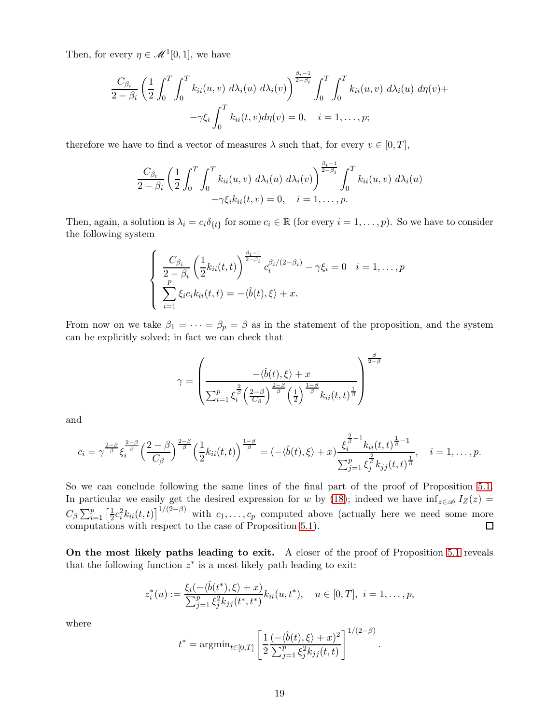Then, for every  $\eta \in \mathcal{M}^1[0,1]$ , we have

$$
\frac{C_{\beta_i}}{2-\beta_i} \left(\frac{1}{2} \int_0^T \int_0^T k_{ii}(u,v) d\lambda_i(u) d\lambda_i(v)\right)^{\frac{\beta_i-1}{2-\beta_i}} \int_0^T \int_0^T k_{ii}(u,v) d\lambda_i(u) d\eta(v) +
$$

$$
-\gamma \xi_i \int_0^T k_{ii}(t,v) d\eta(v) = 0, \quad i = 1,\dots,p;
$$

therefore we have to find a vector of measures  $\lambda$  such that, for every  $v \in [0, T]$ ,

$$
\frac{C_{\beta_i}}{2-\beta_i} \left(\frac{1}{2} \int_0^T \int_0^T k_{ii}(u,v) \ d\lambda_i(u) \ d\lambda_i(v)\right)^{\frac{\beta_i-1}{2-\beta_i}} \int_0^T k_{ii}(u,v) \ d\lambda_i(u) -\gamma \xi_i k_{ii}(t,v) = 0, \quad i = 1,\ldots,p.
$$

Then, again, a solution is  $\lambda_i = c_i \delta_{\{t\}}$  for some  $c_i \in \mathbb{R}$  (for every  $i = 1, \ldots, p$ ). So we have to consider the following system

$$
\begin{cases}\n\frac{C_{\beta_i}}{2-\beta_i} \left(\frac{1}{2}k_{ii}(t,t)\right)^{\frac{\beta_i-1}{2-\beta_i}} c_i^{\beta_i/(2-\beta_i)} - \gamma \xi_i = 0 & i = 1,\dots,p \\
\sum_{i=1}^p \xi_i c_i k_{ii}(t,t) = -\langle \hat{b}(t), \xi \rangle + x.\n\end{cases}
$$

From now on we take  $\beta_1 = \cdots = \beta_p = \beta$  as in the statement of the proposition, and the system can be explicitly solved; in fact we can check that

$$
\gamma = \left(\frac{-\langle \hat{b}(t), \xi \rangle + x}{\sum_{i=1}^p \xi_i^{\frac{2}{\beta}} \left(\frac{2-\beta}{C_{\beta}}\right)^{\frac{2-\beta}{\beta}} \left(\frac{1}{2}\right)^{\frac{1-\beta}{\beta}} k_{ii}(t, t)^{\frac{1}{\beta}}}\right)^{\frac{\beta}{2-\beta}}
$$

and

$$
c_i = \gamma^{\frac{2-\beta}{\beta}} \xi_i^{\frac{2-\beta}{\beta}} \left(\frac{2-\beta}{C_{\beta}}\right)^{\frac{2-\beta}{\beta}} \left(\frac{1}{2}k_{ii}(t,t)\right)^{\frac{1-\beta}{\beta}} = (-\langle \hat{b}(t), \xi \rangle + x) \frac{\xi_i^{\frac{2}{\beta}-1}k_{ii}(t,t)^{\frac{1}{\beta}-1}}{\sum_{j=1}^p \xi_j^{\frac{2}{\beta}}k_{jj}(t,t)^{\frac{1}{\beta}}}, \quad i = 1, \ldots, p.
$$

So we can conclude following the same lines of the final part of the proof of Proposition [5.1.](#page-16-0) In particular we easily get the desired expression for w by [\(18\)](#page-16-1); indeed we have  $\inf_{z \in \mathscr{A}_t} I_Z(z) =$  $C_{\beta} \sum_{i=1}^{p} \left[\frac{1}{2}\right]$  $\frac{1}{2}c_i^2k_{ii}(t,t)\right]^{1/(2-\beta)}$  with  $c_1,\ldots,c_p$  computed above (actually here we need some more computations with respect to the case of Proposition [5.1\)](#page-16-0).  $\Box$ 

On the most likely paths leading to exit. A closer of the proof of Proposition [5.1](#page-16-0) reveals that the following function  $z^*$  is a most likely path leading to exit:

$$
z_i^*(u) := \frac{\xi_i(-\langle \hat{b}(t^*), \xi \rangle + x)}{\sum_{j=1}^p \xi_j^2 k_{jj}(t^*, t^*)} k_{ii}(u, t^*), \quad u \in [0, T], \ i = 1, \dots, p,
$$

where

$$
t^* = \operatorname{argmin}_{t \in [0,T]} \left[ \frac{1}{2} \frac{(-\langle \hat{b}(t), \xi \rangle + x)^2}{\sum_{j=1}^p \xi_j^2 k_{jj}(t,t)} \right]^{1/(2-\beta)}.
$$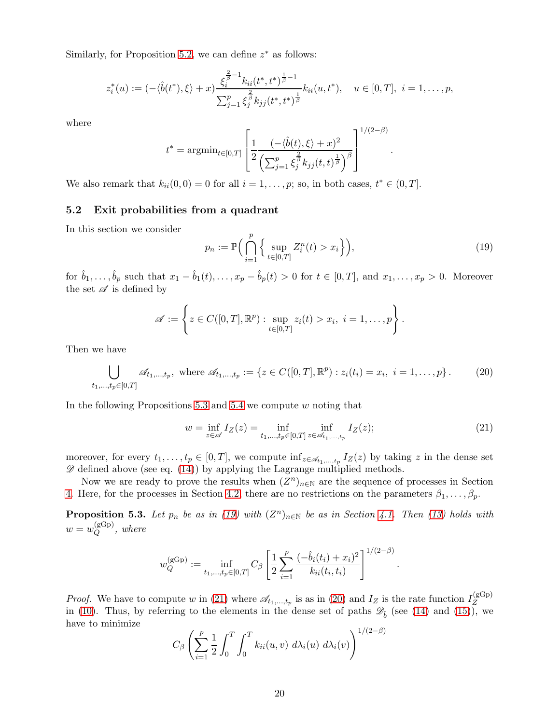Similarly, for Proposition [5.2,](#page-17-0) we can define  $z^*$  as follows:

$$
z_i^*(u) := (-\langle \hat{b}(t^*), \xi \rangle + x) \frac{\xi_i^{\frac{2}{\beta}-1} k_{ii}(t^*, t^*)^{\frac{1}{\beta}-1}}{\sum_{j=1}^p \xi_j^{\frac{2}{\beta}} k_{jj}(t^*, t^*)^{\frac{1}{\beta}}} k_{ii}(u, t^*), \quad u \in [0, T], \ i = 1, \dots, p,
$$

where

$$
t^* = \text{argmin}_{t\in[0,T]}\left[\frac{1}{2}\frac{(-\langle\hat{b}(t),\xi\rangle+x)^2}{\left(\sum_{j=1}^p\xi_j^{\frac{2}{\beta}}k_{jj}(t,t)^{\frac{1}{\beta}}\right)^{\beta}}\right]^{1/(2-\beta)}
$$

We also remark that  $k_{ii}(0,0) = 0$  for all  $i = 1, \ldots, p$ ; so, in both cases,  $t^* \in (0, T]$ .

#### <span id="page-19-0"></span>5.2 Exit probabilities from a quadrant

In this section we consider

<span id="page-19-1"></span>
$$
p_n := \mathbb{P}\Big(\bigcap_{i=1}^p \Big\{\sup_{t \in [0,T]} Z_i^n(t) > x_i\Big\}\Big),\tag{19}
$$

.

for  $\hat{b}_1, \ldots, \hat{b}_p$  such that  $x_1 - \hat{b}_1(t), \ldots, x_p - \hat{b}_p(t) > 0$  for  $t \in [0, T]$ , and  $x_1, \ldots, x_p > 0$ . Moreover the set  $\mathscr A$  is defined by

$$
\mathscr{A} := \left\{ z \in C([0,T],\mathbb{R}^p) : \sup_{t \in [0,T]} z_i(t) > x_i, \ i = 1,\ldots,p \right\}.
$$

Then we have

<span id="page-19-4"></span>
$$
\bigcup_{t_1,\dots,t_p\in[0,T]} \mathscr{A}_{t_1,\dots,t_p}, \text{ where } \mathscr{A}_{t_1,\dots,t_p} := \{ z \in C([0,T],\mathbb{R}^p) : z_i(t_i) = x_i, \ i = 1,\dots,p \}. \tag{20}
$$

In the following Propositions [5.3](#page-19-2) and [5.4](#page-20-0) we compute  $w$  noting that

<span id="page-19-3"></span>
$$
w = \inf_{z \in \mathscr{A}} I_Z(z) = \inf_{t_1, \dots, t_p \in [0, T]} \inf_{z \in \mathscr{A}_{t_1, \dots, t_p}} I_Z(z); \tag{21}
$$

.

moreover, for every  $t_1, \ldots, t_p \in [0, T]$ , we compute  $\inf_{z \in \mathscr{A}_{t_1, \ldots, t_p}} I_Z(z)$  by taking z in the dense set  $\mathscr{D}$  defined above (see eq. [\(14\)](#page-15-4)) by applying the Lagrange multiplied methods.

Now we are ready to prove the results when  $(Z^n)_{n\in\mathbb{N}}$  are the sequence of processes in Section [4.](#page-11-0) Here, for the processes in Section [4.2,](#page-13-0) there are no restrictions on the parameters  $\beta_1, \ldots, \beta_p$ .

<span id="page-19-2"></span>**Proposition 5.3.** Let  $p_n$  be as in [\(19\)](#page-19-1) with  $(Z^n)_{n\in\mathbb{N}}$  be as in Section [4.1.](#page-12-0) Then [\(13\)](#page-15-1) holds with  $w=w_O^{\text{(gGp)}}$  $Q^{(\text{gGp})}$ , where

$$
w_Q^{\text{(gGp)}} := \inf_{t_1, \dots, t_p \in [0,T]} C_\beta \left[ \frac{1}{2} \sum_{i=1}^p \frac{(-\hat{b}_i(t_i) + x_i)^2}{k_{ii}(t_i, t_i)} \right]^{1/(2-\beta)}
$$

*Proof.* We have to compute w in [\(21\)](#page-19-3) where  $\mathscr{A}_{t_1,\dots,t_p}$  is as in [\(20\)](#page-19-4) and  $I_Z$  is the rate function  $I_Z^{(\text{gGp})}$ Z in [\(10\)](#page-13-3). Thus, by referring to the elements in the dense set of paths  $\mathscr{D}_{\hat{b}}$  (see [\(14\)](#page-15-4) and [\(15\)](#page-15-5)), we have to minimize

$$
C_{\beta}\left(\sum_{i=1}^p\frac{1}{2}\int_0^T\int_0^T k_{ii}(u,v)\ d\lambda_i(u)\ d\lambda_i(v)\right)^{1/(2-\beta)}
$$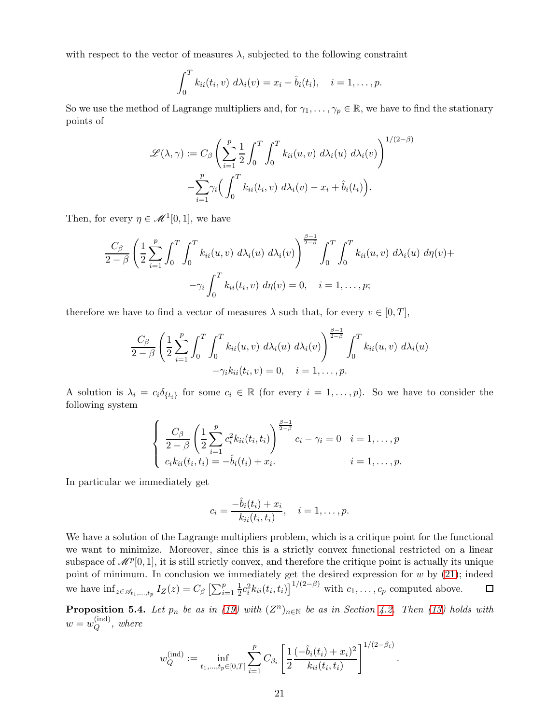with respect to the vector of measures  $\lambda$ , subjected to the following constraint

$$
\int_0^T k_{ii}(t_i,v) d\lambda_i(v) = x_i - \hat{b}_i(t_i), \quad i = 1,\ldots,p.
$$

So we use the method of Lagrange multipliers and, for  $\gamma_1, \ldots, \gamma_p \in \mathbb{R}$ , we have to find the stationary points of

$$
\mathcal{L}(\lambda, \gamma) := C_{\beta} \left( \sum_{i=1}^{p} \frac{1}{2} \int_{0}^{T} \int_{0}^{T} k_{ii}(u, v) d\lambda_{i}(u) d\lambda_{i}(v) \right)^{1/(2-\beta)}
$$

$$
- \sum_{i=1}^{p} \gamma_{i} \left( \int_{0}^{T} k_{ii}(t_{i}, v) d\lambda_{i}(v) - x_{i} + \hat{b}_{i}(t_{i}) \right).
$$

Then, for every  $\eta \in \mathcal{M}^1[0,1]$ , we have

$$
\frac{C_{\beta}}{2-\beta} \left( \frac{1}{2} \sum_{i=1}^p \int_0^T \int_0^T k_{ii}(u,v) \ d\lambda_i(u) \ d\lambda_i(v) \right)^{\frac{\beta-1}{2-\beta}} \int_0^T \int_0^T k_{ii}(u,v) \ d\lambda_i(u) \ d\eta(v) +
$$

$$
-\gamma_i \int_0^T k_{ii}(t_i,v) \ d\eta(v) = 0, \quad i = 1,\ldots,p;
$$

therefore we have to find a vector of measures  $\lambda$  such that, for every  $v \in [0, T]$ ,

$$
\frac{C_{\beta}}{2-\beta} \left( \frac{1}{2} \sum_{i=1}^p \int_0^T \int_0^T k_{ii}(u,v) \ d\lambda_i(u) \ d\lambda_i(v) \right)^{\frac{\beta-1}{2-\beta}} \int_0^T k_{ii}(u,v) \ d\lambda_i(u) -\gamma_i k_{ii}(t_i,v) = 0, \quad i = 1,\ldots,p.
$$

A solution is  $\lambda_i = c_i \delta_{\{t_i\}}$  for some  $c_i \in \mathbb{R}$  (for every  $i = 1, \ldots, p$ ). So we have to consider the following system

$$
\begin{cases}\n\frac{C_{\beta}}{2-\beta} \left( \frac{1}{2} \sum_{i=1}^{p} c_i^2 k_{ii}(t_i, t_i) \right)^{\frac{\beta-1}{2-\beta}} c_i - \gamma_i = 0 & i = 1, \dots, p \\
c_i k_{ii}(t_i, t_i) = -\hat{b}_i(t_i) + x_i. & i = 1, \dots, p.\n\end{cases}
$$

In particular we immediately get

$$
c_i = \frac{-\hat{b}_i(t_i) + x_i}{k_{ii}(t_i, t_i)}, \quad i = 1, \dots, p.
$$

We have a solution of the Lagrange multipliers problem, which is a critique point for the functional we want to minimize. Moreover, since this is a strictly convex functional restricted on a linear subspace of  $\mathcal{M}^p[0,1]$ , it is still strictly convex, and therefore the critique point is actually its unique point of minimum. In conclusion we immediately get the desired expression for  $w$  by  $(21)$ ; indeed  $\frac{1}{2}c_i^2k_{ii}(t_i,t_i)\right]^{1/(2-\beta)}$  with  $c_1,\ldots,c_p$  computed above. we have  $\inf_{z \in \mathscr{A}_{t_1,\dots,t_p}} I_Z(z) = C_\beta \left[ \sum_{i=1}^p \frac{1}{2} \right]$  $\Box$ 

<span id="page-20-0"></span>**Proposition 5.4.** Let  $p_n$  be as in [\(19\)](#page-19-1) with  $(Z^n)_{n\in\mathbb{N}}$  be as in Section [4.2.](#page-13-0) Then [\(13\)](#page-15-1) holds with  $w=w^{\text{(ind)}}_O$  $Q^{(\text{ind})}$ , where

$$
w_Q^{(\text{ind})} := \inf_{t_1, \dots, t_p \in [0, T]} \sum_{i=1}^p C_{\beta_i} \left[ \frac{1}{2} \frac{(-\hat{b}_i(t_i) + x_i)^2}{k_{ii}(t_i, t_i)} \right]^{1/(2-\beta_i)}
$$

.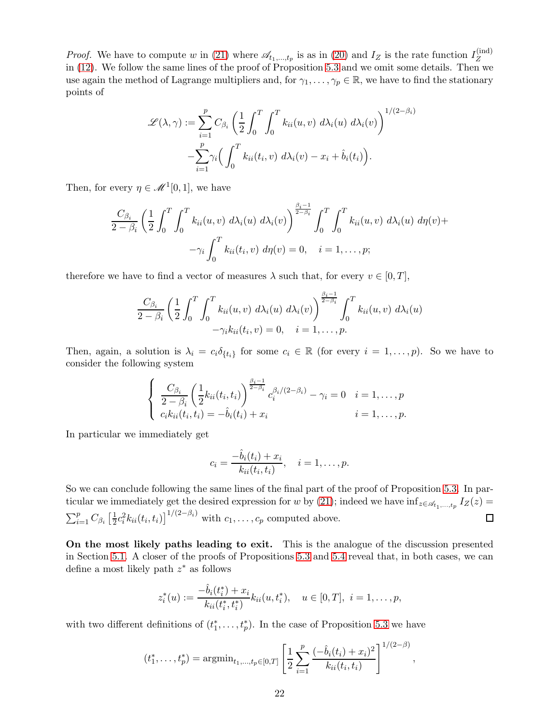*Proof.* We have to compute w in [\(21\)](#page-19-3) where  $\mathscr{A}_{t_1,\dots,t_p}$  is as in [\(20\)](#page-19-4) and  $I_Z$  is the rate function  $I_Z^{\text{(ind)}}$ Z in [\(12\)](#page-14-0). We follow the same lines of the proof of Proposition [5.3](#page-19-2) and we omit some details. Then we use again the method of Lagrange multipliers and, for  $\gamma_1, \ldots, \gamma_p \in \mathbb{R}$ , we have to find the stationary points of

$$
\mathcal{L}(\lambda, \gamma) := \sum_{i=1}^{p} C_{\beta_i} \left( \frac{1}{2} \int_0^T \int_0^T k_{ii}(u, v) \ d\lambda_i(u) \ d\lambda_i(v) \right)^{1/(2-\beta_i)} - \sum_{i=1}^{p} \gamma_i \left( \int_0^T k_{ii}(t_i, v) \ d\lambda_i(v) - x_i + \hat{b}_i(t_i) \right).
$$

Then, for every  $\eta \in \mathcal{M}^1[0,1]$ , we have

$$
\frac{C_{\beta_i}}{2-\beta_i} \left(\frac{1}{2} \int_0^T \int_0^T k_{ii}(u,v) d\lambda_i(u) d\lambda_i(v)\right)^{\frac{\beta_i-1}{2-\beta_i}} \int_0^T \int_0^T k_{ii}(u,v) d\lambda_i(u) d\eta(v) +
$$

$$
-\gamma_i \int_0^T k_{ii}(t_i,v) d\eta(v) = 0, \quad i = 1,\dots,p;
$$

therefore we have to find a vector of measures  $\lambda$  such that, for every  $v \in [0, T]$ ,

$$
\frac{C_{\beta_i}}{2-\beta_i} \left(\frac{1}{2} \int_0^T \int_0^T k_{ii}(u,v) \ d\lambda_i(u) \ d\lambda_i(v)\right)^{\frac{\beta_i-1}{2-\beta_i}} \int_0^T k_{ii}(u,v) \ d\lambda_i(u) -\gamma_i k_{ii}(t_i,v) = 0, \quad i = 1,\ldots,p.
$$

Then, again, a solution is  $\lambda_i = c_i \delta_{\{t_i\}}$  for some  $c_i \in \mathbb{R}$  (for every  $i = 1, ..., p$ ). So we have to consider the following system

$$
\begin{cases}\n\frac{C_{\beta_i}}{2-\beta_i} \left( \frac{1}{2} k_{ii}(t_i, t_i) \right)^{\frac{\beta_i - 1}{2-\beta_i}} c_i^{\beta_i/(2-\beta_i)} - \gamma_i = 0 & i = 1, ..., p \\
c_i k_{ii}(t_i, t_i) = -\hat{b}_i(t_i) + x_i & i = 1, ..., p.\n\end{cases}
$$

In particular we immediately get

$$
c_i = \frac{-\hat{b}_i(t_i) + x_i}{k_{ii}(t_i, t_i)}, \quad i = 1, \dots, p.
$$

So we can conclude following the same lines of the final part of the proof of Proposition [5.3.](#page-19-2) In par-ticular we immediately get the desired expression for w by [\(21\)](#page-19-3); indeed we have  $\inf_{z \in \mathscr{A}_{t_1,\dots,t_p}} I_Z(z) =$  $\frac{1}{2}c_i^2k_{ii}(t_i,t_i)\right]^{1/(2-\beta_i)}$  with  $c_1,\ldots,c_p$  computed above.  $\sum_{i=1}^{p} C_{\beta_i} \left[ \frac{1}{2} \right]$  $\Box$ 

On the most likely paths leading to exit. This is the analogue of the discussion presented in Section [5.1.](#page-15-0) A closer of the proofs of Propositions [5.3](#page-19-2) and [5.4](#page-20-0) reveal that, in both cases, we can define a most likely path  $z^*$  as follows

$$
z_i^*(u) := \frac{-\hat{b}_i(t_i^*) + x_i}{k_{ii}(t_i^*, t_i^*)} k_{ii}(u, t_i^*), \quad u \in [0, T], \ i = 1, \dots, p,
$$

with two different definitions of  $(t_1^*, \ldots, t_p^*)$ . In the case of Proposition [5.3](#page-19-2) we have

$$
(t_1^*, \ldots, t_p^*) = \operatorname{argmin}_{t_1, \ldots, t_p \in [0,T]} \left[ \frac{1}{2} \sum_{i=1}^p \frac{(-\hat{b}_i(t_i) + x_i)^2}{k_{ii}(t_i, t_i)} \right]^{1/(2-\beta)},
$$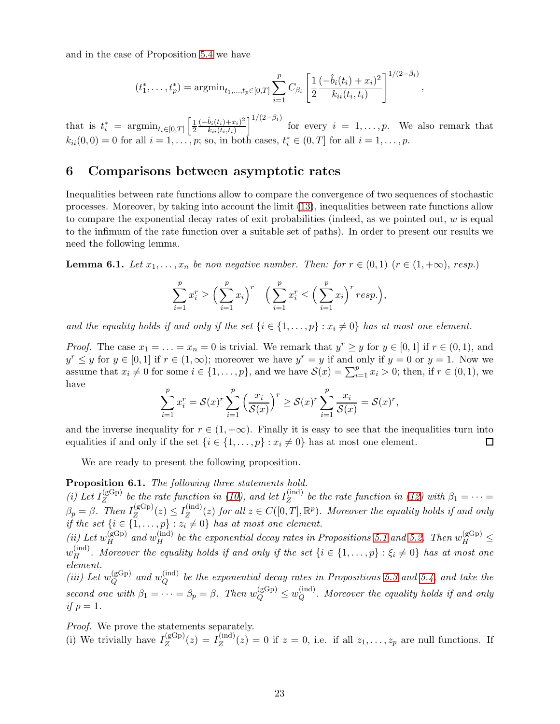and in the case of Proposition [5.4](#page-20-0) we have

$$
(t_1^*, \ldots, t_p^*) = \mathrm{argmin}_{t_1, \ldots, t_p \in [0,T]} \sum_{i=1}^p C_{\beta_i} \left[ \frac{1}{2} \frac{(-\hat{b}_i(t_i) + x_i)^2}{k_{ii}(t_i, t_i)} \right]^{1/(2-\beta_i)},
$$

that is  $t_i^* = \operatorname{argmin}_{t_i \in [0,T]} \left[ \frac{1}{2} \right]$ 2  $(-\hat{b}_i(t_i)+x_i)^2$  $\left[\hat{b}_i(t_i)+x_i\right]^2\right]^{1/(2-\beta_i)}$  for every  $i=1,\ldots,p$ . We also remark that  $k_{ii}(0,0) = 0$  for all  $i = 1, ..., p$ ; so, in both cases,  $t_i^* \in (0,T]$  for all  $i = 1, ..., p$ .

## <span id="page-22-0"></span>6 Comparisons between asymptotic rates

Inequalities between rate functions allow to compare the convergence of two sequences of stochastic processes. Moreover, by taking into account the limit [\(13\)](#page-15-1), inequalities between rate functions allow to compare the exponential decay rates of exit probabilities (indeed, as we pointed out,  $w$  is equal to the infimum of the rate function over a suitable set of paths). In order to present our results we need the following lemma.

<span id="page-22-1"></span>**Lemma 6.1.** Let  $x_1, \ldots, x_n$  be non negative number. Then: for  $r \in (0,1)$  ( $r \in (1,+\infty)$ , resp.)

$$
\sum_{i=1}^p x_i^r \ge \left(\sum_{i=1}^p x_i\right)^r \quad \left(\sum_{i=1}^p x_i^r \le \left(\sum_{i=1}^p x_i\right)^r resp.\right),
$$

and the equality holds if and only if the set  $\{i \in \{1, \ldots, p\} : x_i \neq 0\}$  has at most one element.

*Proof.* The case  $x_1 = \ldots = x_n = 0$  is trivial. We remark that  $y^r \geq y$  for  $y \in [0, 1]$  if  $r \in (0, 1)$ , and  $y^r \leq y$  for  $y \in [0,1]$  if  $r \in (1,\infty)$ ; moreover we have  $y^r = y$  if and only if  $y = 0$  or  $y = 1$ . Now we assume that  $x_i \neq 0$  for some  $i \in \{1, \ldots, p\}$ , and we have  $\mathcal{S}(x) = \sum_{i=1}^p x_i > 0$ ; then, if  $r \in (0,1)$ , we have

$$
\sum_{i=1}^p x_i^r = \mathcal{S}(x)^r \sum_{i=1}^p \left(\frac{x_i}{\mathcal{S}(x)}\right)^r \ge \mathcal{S}(x)^r \sum_{i=1}^p \frac{x_i}{\mathcal{S}(x)} = \mathcal{S}(x)^r,
$$

and the inverse inequality for  $r \in (1, +\infty)$ . Finally it is easy to see that the inequalities turn into equalities if and only if the set  $\{i \in \{1, ..., p\} : x_i \neq 0\}$  has at most one element. equalities if and only if the set  $\{i \in \{1, \ldots, p\} : x_i \neq 0\}$  has at most one element.

We are ready to present the following proposition.

<span id="page-22-2"></span>Proposition 6.1. The following three statements hold.

(i) Let  $I_Z^{\text{(gGp)}}$  be the rate function in [\(10\)](#page-13-3), and let  $I_Z^{\text{(ind)}}$  be the rate function in [\(12\)](#page-14-0) with  $\beta_1 = \cdots =$  $Z = \mathcal{Z}$  be the rate function in (10), and let  $I_Z$  $\beta_p = \beta$ . Then  $I_Z^{\text{(gGp)}}$  $Z_Z^{\text{(gGp)}}(z) \leq I_Z^{\text{(ind)}}$  $Z_Z^{(ind)}(z)$  for all  $z \in C([0,T], \mathbb{R}^p)$ . Moreover the equality holds if and only if the set  $\{i \in \{1, \ldots, p\} : z_i \neq 0\}$  has at most one element.

(*ii*) Let  $w_H^{\text{(gGp)}}$  $_{H}^{(\text{gGp})}$  and  $w_{H}^{(\text{ind})}$  $_{H}^{(\mathrm{ind})}$  be the exponential decay rates in Propositions [5.1](#page-16-0) and [5.2.](#page-17-0) Then  $w_{H}^{(\mathrm{gGp})} \leq$  $w_H^{(ind)}$ . Moreover the equality holds if and only if the set  $\{i \in \{1, \ldots, p\} : \xi_i \neq 0\}$  has at most one element.

(*iii*) Let  $w_Q^{\text{(gGp)}}$  $_{Q}^{(\text{gGp})}$  and  $w_{Q}^{(\text{ind})}$  $Q_Q^{\text{(ma)}}$  be the exponential decay rates in Propositions [5.3](#page-19-2) and [5.4,](#page-20-0) and take the second one with  $\beta_1 = \cdots = \beta_p = \beta$ . Then  $w_Q^{\text{(gGp)}} \leq w_Q^{\text{(ind)}}$  $Q$ <sup>(ind)</sup>. Moreover the equality holds if and only if  $p=1$ .

Proof. We prove the statements separately.

(i) We trivially have  $I_Z^{\text{(gGp)}}$  $I_Z^{(\text{gGp})}(z) = I_Z^{(\text{ind})}$  $Z_Z^{(m)}(z) = 0$  if  $z = 0$ , i.e. if all  $z_1, \ldots, z_p$  are null functions. If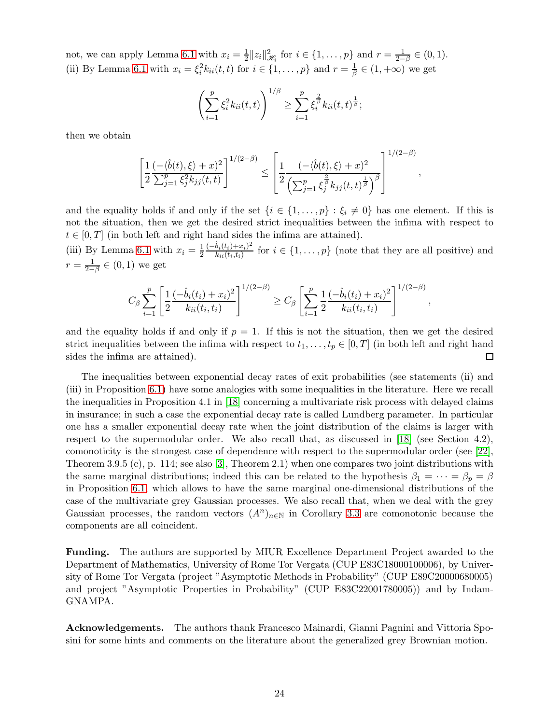not, we can apply Lemma [6.1](#page-22-1) with  $x_i = \frac{1}{2}$  $\frac{1}{2}||z_i||_{\mathcal{H}_i}^2$  for  $i \in \{1, ..., p\}$  and  $r = \frac{1}{2-1}$  $\frac{1}{2-\beta} \in (0,1).$ (ii) By Lemma [6.1](#page-22-1) with  $x_i = \xi_i^2 k_{ii}(t, t)$  for  $i \in \{1, \ldots, p\}$  and  $r = \frac{1}{\beta}$  $\frac{1}{\beta} \in (1, +\infty)$  we get

$$
\left(\sum_{i=1}^p \xi_i^2 k_{ii}(t,t)\right)^{1/\beta} \ge \sum_{i=1}^p \xi_i^{\frac{2}{\beta}} k_{ii}(t,t)^{\frac{1}{\beta}};
$$

then we obtain

$$
\left[\frac{1}{2}\frac{(-\langle \hat{b}(t),\xi\rangle + x)^2}{\sum_{j=1}^p \xi_j^2 k_{jj}(t,t)}\right]^{1/(2-\beta)} \le \left[\frac{1}{2}\frac{(-\langle \hat{b}(t),\xi\rangle + x)^2}{\left(\sum_{j=1}^p \xi_j^2 k_{jj}(t,t)^{\frac{1}{\beta}}\right)^{\beta}}\right]^{1/(2-\beta)}
$$

,

,

and the equality holds if and only if the set  $\{i \in \{1, \ldots, p\} : \xi_i \neq 0\}$  has one element. If this is not the situation, then we get the desired strict inequalities between the infima with respect to  $t \in [0, T]$  (in both left and right hand sides the infima are attained).

(iii) By Lemma [6.1](#page-22-1) with  $x_i = \frac{1}{2}$ 2  $(-\hat{b}_i(t_i)+x_i)^2$  $\frac{b_i(t_i)+x_i}{k_{ii}(t_i,t_i)}$  for  $i \in \{1,\ldots,p\}$  (note that they are all positive) and  $r = \frac{1}{2}$  $\frac{1}{2-\beta} \in (0,1)$  we get

$$
C_{\beta} \sum_{i=1}^{p} \left[ \frac{1}{2} \frac{(-\hat{b}_{i}(t_{i}) + x_{i})^{2}}{k_{ii}(t_{i}, t_{i})} \right]^{1/(2-\beta)} \geq C_{\beta} \left[ \sum_{i=1}^{p} \frac{1}{2} \frac{(-\hat{b}_{i}(t_{i}) + x_{i})^{2}}{k_{ii}(t_{i}, t_{i})} \right]^{1/(2-\beta)}
$$

and the equality holds if and only if  $p = 1$ . If this is not the situation, then we get the desired strict inequalities between the infima with respect to  $t_1, \ldots, t_p \in [0, T]$  (in both left and right hand sides the infima are attained). sides the infima are attained).

The inequalities between exponential decay rates of exit probabilities (see statements (ii) and (iii) in Proposition [6.1\)](#page-22-2) have some analogies with some inequalities in the literature. Here we recall the inequalities in Proposition 4.1 in [\[18\]](#page-24-17) concerning a multivariate risk process with delayed claims in insurance; in such a case the exponential decay rate is called Lundberg parameter. In particular one has a smaller exponential decay rate when the joint distribution of the claims is larger with respect to the supermodular order. We also recall that, as discussed in [\[18\]](#page-24-17) (see Section 4.2), comonoticity is the strongest case of dependence with respect to the supermodular order (see [\[22\]](#page-25-10), Theorem 3.9.5 (c), p. 114; see also [\[3\]](#page-24-18), Theorem 2.1) when one compares two joint distributions with the same marginal distributions; indeed this can be related to the hypothesis  $\beta_1 = \cdots = \beta_p = \beta$ in Proposition [6.1,](#page-22-2) which allows to have the same marginal one-dimensional distributions of the case of the multivariate grey Gaussian processes. We also recall that, when we deal with the grey Gaussian processes, the random vectors  $(A^n)_{n\in\mathbb{N}}$  in Corollary [3.3](#page-10-1) are comonotonic because the components are all coincident.

Funding. The authors are supported by MIUR Excellence Department Project awarded to the Department of Mathematics, University of Rome Tor Vergata (CUP E83C18000100006), by University of Rome Tor Vergata (project "Asymptotic Methods in Probability" (CUP E89C20000680005) and project "Asymptotic Properties in Probability" (CUP E83C22001780005)) and by Indam-GNAMPA.

Acknowledgements. The authors thank Francesco Mainardi, Gianni Pagnini and Vittoria Sposini for some hints and comments on the literature about the generalized grey Brownian motion.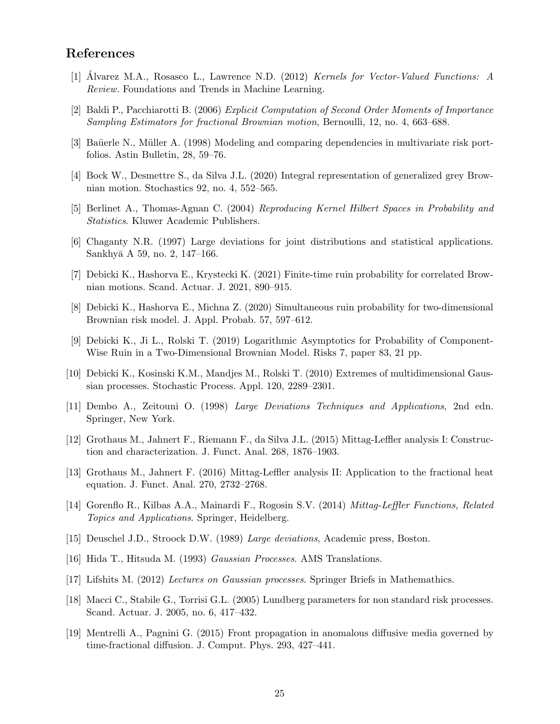## <span id="page-24-13"></span>References

- <span id="page-24-5"></span>[1] Alvarez M.A., Rosasco L., Lawrence N.D. (2012) *Kernels for Vector-Valued Functions: A* Review. Foundations and Trends in Machine Learning.
- <span id="page-24-18"></span>[2] Baldi P., Pacchiarotti B. (2006) Explicit Computation of Second Order Moments of Importance Sampling Estimators for fractional Brownian motion, Bernoulli, 12, no. 4, 663–688.
- <span id="page-24-1"></span>[3] Baüerle N., Müller A. (1998) Modeling and comparing dependencies in multivariate risk portfolios. Astin Bulletin, 28, 59–76.
- <span id="page-24-12"></span>[4] Bock W., Desmettre S., da Silva J.L. (2020) Integral representation of generalized grey Brownian motion. Stochastics 92, no. 4, 552–565.
- <span id="page-24-15"></span>[5] Berlinet A., Thomas-Agnan C. (2004) Reproducing Kernel Hilbert Spaces in Probability and Statistics. Kluwer Academic Publishers.
- <span id="page-24-9"></span>[6] Chaganty N.R. (1997) Large deviations for joint distributions and statistical applications. Sankhyā A 59, no. 2, 147–166.
- <span id="page-24-8"></span>[7] Debicki K., Hashorva E., Krystecki K. (2021) Finite-time ruin probability for correlated Brownian motions. Scand. Actuar. J. 2021, 890–915.
- <span id="page-24-6"></span>[8] Debicki K., Hashorva E., Michna Z. (2020) Simultaneous ruin probability for two-dimensional Brownian risk model. J. Appl. Probab. 57, 597–612.
- <span id="page-24-7"></span>[9] Debicki K., Ji L., Rolski T. (2019) Logarithmic Asymptotics for Probability of Component-Wise Ruin in a Two-Dimensional Brownian Model. Risks 7, paper 83, 21 pp.
- <span id="page-24-0"></span>[10] Debicki K., Kosinski K.M., Mandjes M., Rolski T. (2010) Extremes of multidimensional Gaussian processes. Stochastic Process. Appl. 120, 2289–2301.
- <span id="page-24-4"></span>[11] Dembo A., Zeitouni O. (1998) Large Deviations Techniques and Applications, 2nd edn. Springer, New York.
- <span id="page-24-3"></span>[12] Grothaus M., Jahnert F., Riemann F., da Silva J.L. (2015) Mittag-Leffler analysis I: Construction and characterization. J. Funct. Anal. 268, 1876–1903.
- <span id="page-24-16"></span>[13] Grothaus M., Jahnert F. (2016) Mittag-Leffler analysis II: Application to the fractional heat equation. J. Funct. Anal. 270, 2732–2768.
- [14] Gorenflo R., Kilbas A.A., Mainardi F., Rogosin S.V. (2014) Mittag-Leffler Functions, Related Topics and Applications. Springer, Heidelberg.
- <span id="page-24-11"></span><span id="page-24-10"></span>[15] Deuschel J.D., Stroock D.W. (1989) Large deviations, Academic press, Boston.
- <span id="page-24-14"></span>[16] Hida T., Hitsuda M. (1993) Gaussian Processes. AMS Translations.
- <span id="page-24-17"></span>[17] Lifshits M. (2012) Lectures on Gaussian processes. Springer Briefs in Mathemathics.
- [18] Macci C., Stabile G., Torrisi G.L. (2005) Lundberg parameters for non standard risk processes. Scand. Actuar. J. 2005, no. 6, 417–432.
- <span id="page-24-2"></span>[19] Mentrelli A., Pagnini G. (2015) Front propagation in anomalous diffusive media governed by time-fractional diffusion. J. Comput. Phys. 293, 427–441.